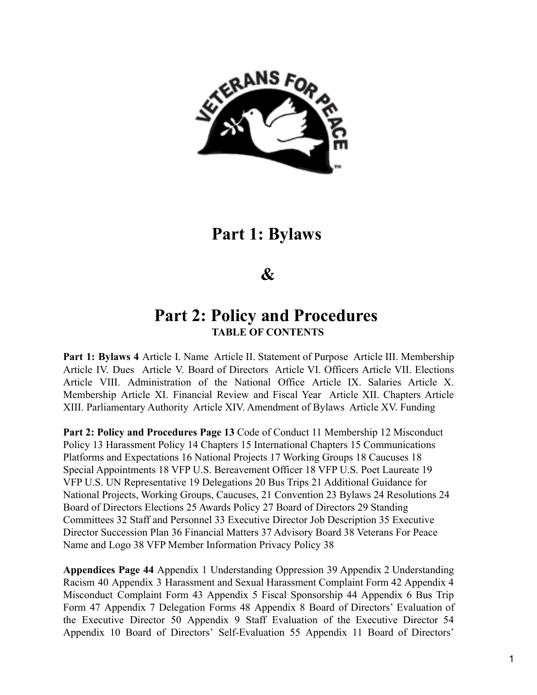

# **Part 1: Bylaws**

# **&**

# **Part 2: Policy and Procedures TABLE OF CONTENTS**

**Part 1: Bylaws 4** Article I. Name Article II. Statement of Purpose Article III. Membership Article IV. Dues Article V. Board of Directors Article VI. Officers Article VII. Elections Article VIII. Administration of the National Office Article IX. Salaries Article X. Membership Article XI. Financial Review and Fiscal Year Article XII. Chapters Article XIII. Parliamentary Authority Article XIV. Amendment of Bylaws Article XV. Funding

**Part 2: Policy and Procedures Page 13** Code of Conduct 11 Membership 12 Misconduct Policy 13 Harassment Policy 14 Chapters 15 International Chapters 15 Communications Platforms and Expectations 16 National Projects 17 Working Groups 18 Caucuses 18 Special Appointments 18 VFP U.S. Bereavement Officer 18 VFP U.S. Poet Laureate 19 VFP U.S. UN Representative 19 Delegations 20 Bus Trips 21 Additional Guidance for National Projects, Working Groups, Caucuses, 21 Convention 23 Bylaws 24 Resolutions 24 Board of Directors Elections 25 Awards Policy 27 Board of Directors 29 Standing Committees 32 Staff and Personnel 33 Executive Director Job Description 35 Executive Director Succession Plan 36 Financial Matters 37 Advisory Board 38 Veterans For Peace Name and Logo 38 VFP Member Information Privacy Policy 38

**Appendices Page 44** Appendix 1 Understanding Oppression 39 Appendix 2 Understanding Racism 40 Appendix 3 Harassment and Sexual Harassment Complaint Form 42 Appendix 4 Misconduct Complaint Form 43 Appendix 5 Fiscal Sponsorship 44 Appendix 6 Bus Trip Form 47 Appendix 7 Delegation Forms 48 Appendix 8 Board of Directors' Evaluation of the Executive Director 50 Appendix 9 Staff Evaluation of the Executive Director 54 Appendix 10 Board of Directors' Self-Evaluation 55 Appendix 11 Board of Directors'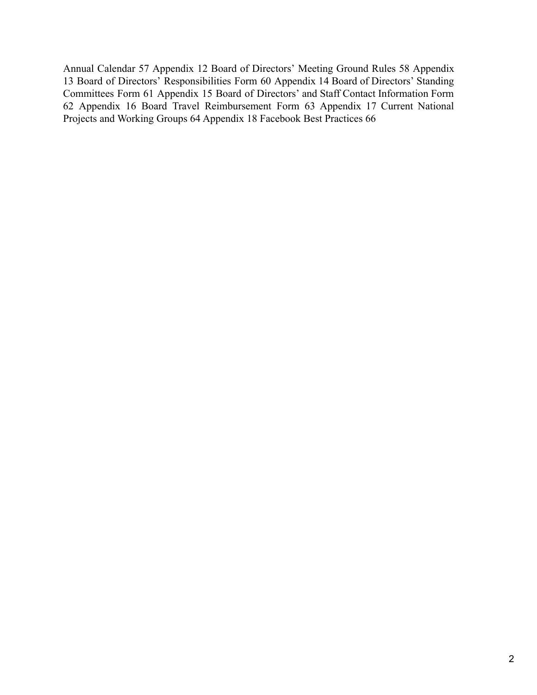Annual Calendar 57 Appendix 12 Board of Directors' Meeting Ground Rules 58 Appendix 13 Board of Directors' Responsibilities Form 60 Appendix 14 Board of Directors' Standing Committees Form 61 Appendix 15 Board of Directors' and Staff Contact Information Form 62 Appendix 16 Board Travel Reimbursement Form 63 Appendix 17 Current National Projects and Working Groups 64 Appendix 18 Facebook Best Practices 66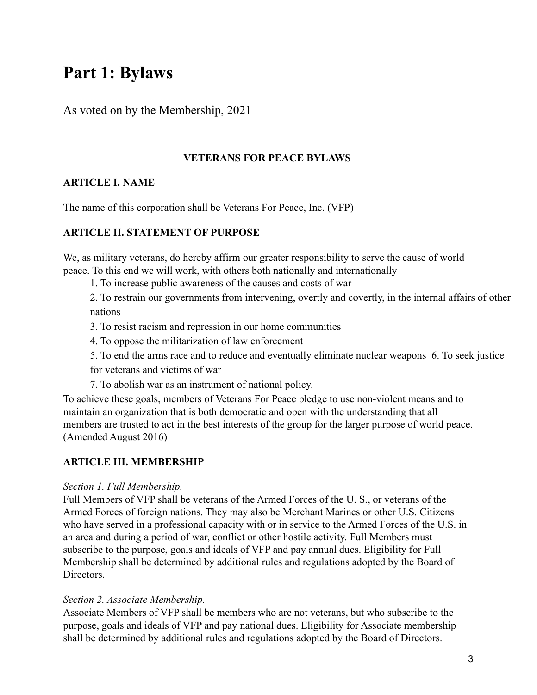# **Part 1: Bylaws**

As voted on by the Membership, 2021

## **VETERANS FOR PEACE BYLAWS**

# **ARTICLE I. NAME**

The name of this corporation shall be Veterans For Peace, Inc. (VFP)

# **ARTICLE II. STATEMENT OF PURPOSE**

We, as military veterans, do hereby affirm our greater responsibility to serve the cause of world peace. To this end we will work, with others both nationally and internationally

1. To increase public awareness of the causes and costs of war

2. To restrain our governments from intervening, overtly and covertly, in the internal affairs of other nations

- 3. To resist racism and repression in our home communities
- 4. To oppose the militarization of law enforcement
- 5. To end the arms race and to reduce and eventually eliminate nuclear weapons 6. To seek justice

for veterans and victims of war

7. To abolish war as an instrument of national policy.

To achieve these goals, members of Veterans For Peace pledge to use non-violent means and to maintain an organization that is both democratic and open with the understanding that all members are trusted to act in the best interests of the group for the larger purpose of world peace. (Amended August 2016)

# **ARTICLE III. MEMBERSHIP**

## *Section 1. Full Membership.*

Full Members of VFP shall be veterans of the Armed Forces of the U. S., or veterans of the Armed Forces of foreign nations. They may also be Merchant Marines or other U.S. Citizens who have served in a professional capacity with or in service to the Armed Forces of the U.S. in an area and during a period of war, conflict or other hostile activity. Full Members must subscribe to the purpose, goals and ideals of VFP and pay annual dues. Eligibility for Full Membership shall be determined by additional rules and regulations adopted by the Board of Directors.

# *Section 2. Associate Membership.*

Associate Members of VFP shall be members who are not veterans, but who subscribe to the purpose, goals and ideals of VFP and pay national dues. Eligibility for Associate membership shall be determined by additional rules and regulations adopted by the Board of Directors.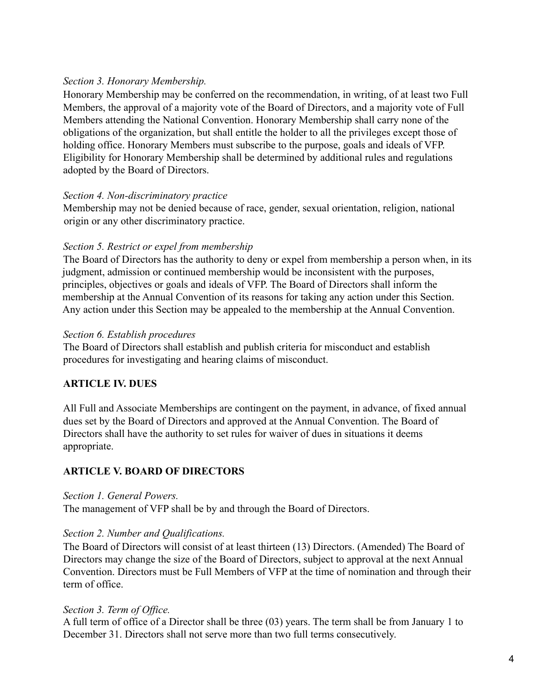## *Section 3. Honorary Membership.*

Honorary Membership may be conferred on the recommendation, in writing, of at least two Full Members, the approval of a majority vote of the Board of Directors, and a majority vote of Full Members attending the National Convention. Honorary Membership shall carry none of the obligations of the organization, but shall entitle the holder to all the privileges except those of holding office. Honorary Members must subscribe to the purpose, goals and ideals of VFP. Eligibility for Honorary Membership shall be determined by additional rules and regulations adopted by the Board of Directors.

## *Section 4. Non-discriminatory practice*

Membership may not be denied because of race, gender, sexual orientation, religion, national origin or any other discriminatory practice.

## *Section 5. Restrict or expel from membership*

The Board of Directors has the authority to deny or expel from membership a person when, in its judgment, admission or continued membership would be inconsistent with the purposes, principles, objectives or goals and ideals of VFP. The Board of Directors shall inform the membership at the Annual Convention of its reasons for taking any action under this Section. Any action under this Section may be appealed to the membership at the Annual Convention.

## *Section 6. Establish procedures*

The Board of Directors shall establish and publish criteria for misconduct and establish procedures for investigating and hearing claims of misconduct.

# **ARTICLE IV. DUES**

All Full and Associate Memberships are contingent on the payment, in advance, of fixed annual dues set by the Board of Directors and approved at the Annual Convention. The Board of Directors shall have the authority to set rules for waiver of dues in situations it deems appropriate.

# **ARTICLE V. BOARD OF DIRECTORS**

## *Section 1. General Powers.*

The management of VFP shall be by and through the Board of Directors.

# *Section 2. Number and Qualifications.*

The Board of Directors will consist of at least thirteen (13) Directors. (Amended) The Board of Directors may change the size of the Board of Directors, subject to approval at the next Annual Convention. Directors must be Full Members of VFP at the time of nomination and through their term of office.

# *Section 3. Term of Office.*

A full term of office of a Director shall be three (03) years. The term shall be from January 1 to December 31. Directors shall not serve more than two full terms consecutively.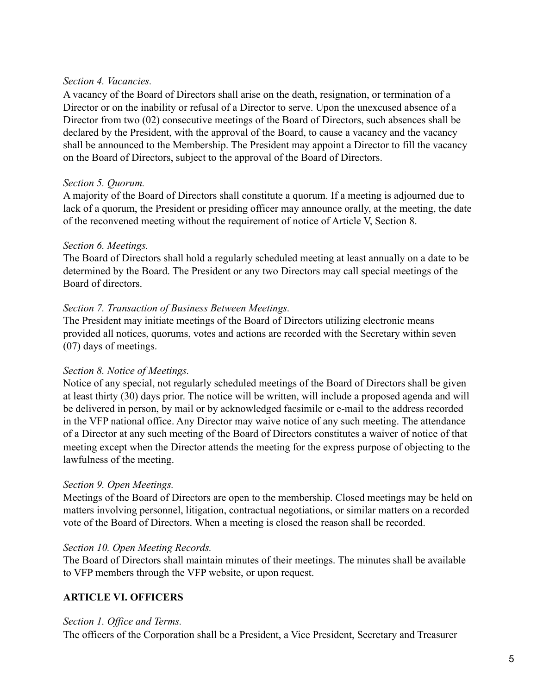#### *Section 4. Vacancies.*

A vacancy of the Board of Directors shall arise on the death, resignation, or termination of a Director or on the inability or refusal of a Director to serve. Upon the unexcused absence of a Director from two (02) consecutive meetings of the Board of Directors, such absences shall be declared by the President, with the approval of the Board, to cause a vacancy and the vacancy shall be announced to the Membership. The President may appoint a Director to fill the vacancy on the Board of Directors, subject to the approval of the Board of Directors.

#### *Section 5. Quorum.*

A majority of the Board of Directors shall constitute a quorum. If a meeting is adjourned due to lack of a quorum, the President or presiding officer may announce orally, at the meeting, the date of the reconvened meeting without the requirement of notice of Article V, Section 8.

#### *Section 6. Meetings.*

The Board of Directors shall hold a regularly scheduled meeting at least annually on a date to be determined by the Board. The President or any two Directors may call special meetings of the Board of directors.

#### *Section 7. Transaction of Business Between Meetings.*

The President may initiate meetings of the Board of Directors utilizing electronic means provided all notices, quorums, votes and actions are recorded with the Secretary within seven (07) days of meetings.

## *Section 8. Notice of Meetings.*

Notice of any special, not regularly scheduled meetings of the Board of Directors shall be given at least thirty (30) days prior. The notice will be written, will include a proposed agenda and will be delivered in person, by mail or by acknowledged facsimile or e-mail to the address recorded in the VFP national office. Any Director may waive notice of any such meeting. The attendance of a Director at any such meeting of the Board of Directors constitutes a waiver of notice of that meeting except when the Director attends the meeting for the express purpose of objecting to the lawfulness of the meeting.

## *Section 9. Open Meetings.*

Meetings of the Board of Directors are open to the membership. Closed meetings may be held on matters involving personnel, litigation, contractual negotiations, or similar matters on a recorded vote of the Board of Directors. When a meeting is closed the reason shall be recorded.

#### *Section 10. Open Meeting Records.*

The Board of Directors shall maintain minutes of their meetings. The minutes shall be available to VFP members through the VFP website, or upon request.

## **ARTICLE VI. OFFICERS**

#### *Section 1. Office and Terms.*

The officers of the Corporation shall be a President, a Vice President, Secretary and Treasurer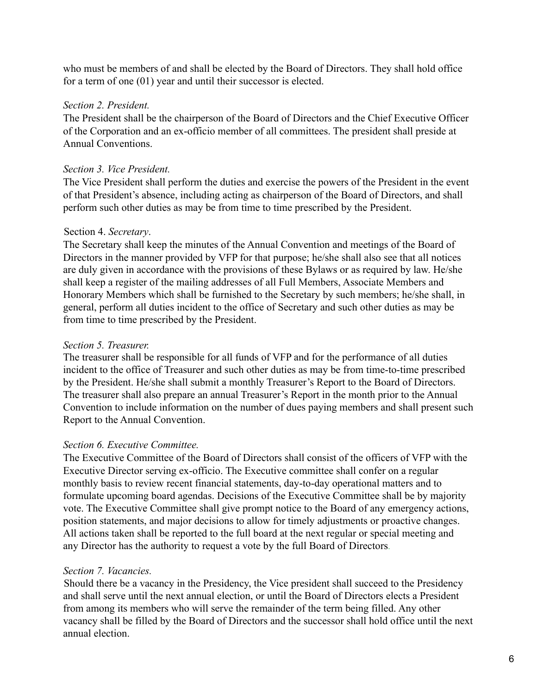who must be members of and shall be elected by the Board of Directors. They shall hold office for a term of one (01) year and until their successor is elected.

## *Section 2. President.*

The President shall be the chairperson of the Board of Directors and the Chief Executive Officer of the Corporation and an ex-officio member of all committees. The president shall preside at Annual Conventions.

## *Section 3. Vice President.*

The Vice President shall perform the duties and exercise the powers of the President in the event of that President's absence, including acting as chairperson of the Board of Directors, and shall perform such other duties as may be from time to time prescribed by the President.

## Section 4. *Secretary*.

The Secretary shall keep the minutes of the Annual Convention and meetings of the Board of Directors in the manner provided by VFP for that purpose; he/she shall also see that all notices are duly given in accordance with the provisions of these Bylaws or as required by law. He/she shall keep a register of the mailing addresses of all Full Members, Associate Members and Honorary Members which shall be furnished to the Secretary by such members; he/she shall, in general, perform all duties incident to the office of Secretary and such other duties as may be from time to time prescribed by the President.

## *Section 5. Treasurer.*

The treasurer shall be responsible for all funds of VFP and for the performance of all duties incident to the office of Treasurer and such other duties as may be from time-to-time prescribed by the President. He/she shall submit a monthly Treasurer's Report to the Board of Directors. The treasurer shall also prepare an annual Treasurer's Report in the month prior to the Annual Convention to include information on the number of dues paying members and shall present such Report to the Annual Convention.

# *Section 6. Executive Committee.*

The Executive Committee of the Board of Directors shall consist of the officers of VFP with the Executive Director serving ex-officio. The Executive committee shall confer on a regular monthly basis to review recent financial statements, day-to-day operational matters and to formulate upcoming board agendas. Decisions of the Executive Committee shall be by majority vote. The Executive Committee shall give prompt notice to the Board of any emergency actions, position statements, and major decisions to allow for timely adjustments or proactive changes. All actions taken shall be reported to the full board at the next regular or special meeting and any Director has the authority to request a vote by the full Board of Directors.

# *Section 7. Vacancies.*

Should there be a vacancy in the Presidency, the Vice president shall succeed to the Presidency and shall serve until the next annual election, or until the Board of Directors elects a President from among its members who will serve the remainder of the term being filled. Any other vacancy shall be filled by the Board of Directors and the successor shall hold office until the next annual election.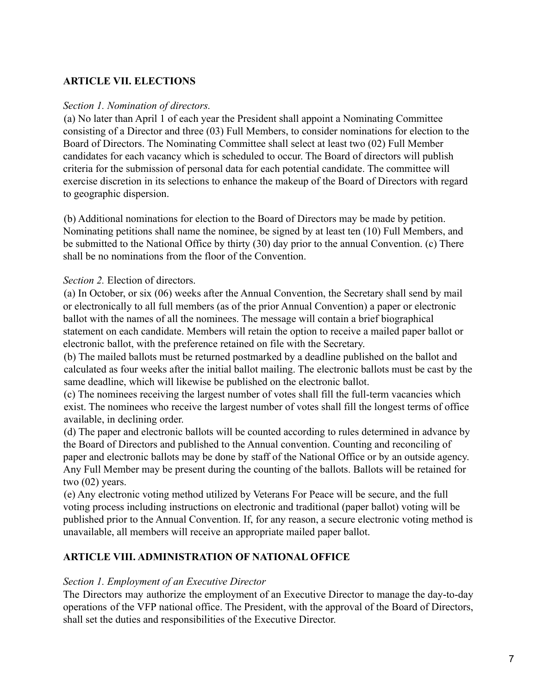# **ARTICLE VII. ELECTIONS**

#### *Section 1. Nomination of directors.*

(a) No later than April 1 of each year the President shall appoint a Nominating Committee consisting of a Director and three (03) Full Members, to consider nominations for election to the Board of Directors. The Nominating Committee shall select at least two (02) Full Member candidates for each vacancy which is scheduled to occur. The Board of directors will publish criteria for the submission of personal data for each potential candidate. The committee will exercise discretion in its selections to enhance the makeup of the Board of Directors with regard to geographic dispersion.

(b) Additional nominations for election to the Board of Directors may be made by petition. Nominating petitions shall name the nominee, be signed by at least ten (10) Full Members, and be submitted to the National Office by thirty (30) day prior to the annual Convention. (c) There shall be no nominations from the floor of the Convention.

#### *Section 2.* Election of directors.

(a) In October, or six (06) weeks after the Annual Convention, the Secretary shall send by mail or electronically to all full members (as of the prior Annual Convention) a paper or electronic ballot with the names of all the nominees. The message will contain a brief biographical statement on each candidate. Members will retain the option to receive a mailed paper ballot or electronic ballot, with the preference retained on file with the Secretary.

(b) The mailed ballots must be returned postmarked by a deadline published on the ballot and calculated as four weeks after the initial ballot mailing. The electronic ballots must be cast by the same deadline, which will likewise be published on the electronic ballot.

(c) The nominees receiving the largest number of votes shall fill the full-term vacancies which exist. The nominees who receive the largest number of votes shall fill the longest terms of office available, in declining order.

(d) The paper and electronic ballots will be counted according to rules determined in advance by the Board of Directors and published to the Annual convention. Counting and reconciling of paper and electronic ballots may be done by staff of the National Office or by an outside agency. Any Full Member may be present during the counting of the ballots. Ballots will be retained for two (02) years.

(e) Any electronic voting method utilized by Veterans For Peace will be secure, and the full voting process including instructions on electronic and traditional (paper ballot) voting will be published prior to the Annual Convention. If, for any reason, a secure electronic voting method is unavailable, all members will receive an appropriate mailed paper ballot.

#### **ARTICLE VIII. ADMINISTRATION OF NATIONAL OFFICE**

#### *Section 1. Employment of an Executive Director*

The Directors may authorize the employment of an Executive Director to manage the day-to-day operations of the VFP national office. The President, with the approval of the Board of Directors, shall set the duties and responsibilities of the Executive Director.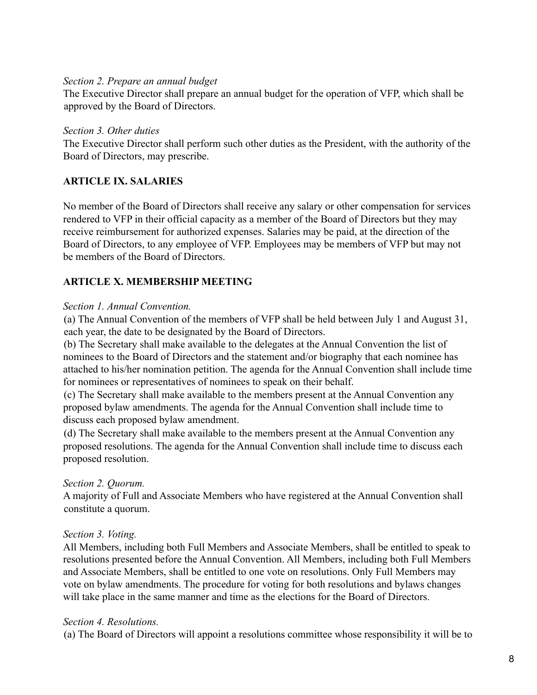#### *Section 2. Prepare an annual budget*

The Executive Director shall prepare an annual budget for the operation of VFP, which shall be approved by the Board of Directors.

#### *Section 3. Other duties*

The Executive Director shall perform such other duties as the President, with the authority of the Board of Directors, may prescribe.

## **ARTICLE IX. SALARIES**

No member of the Board of Directors shall receive any salary or other compensation for services rendered to VFP in their official capacity as a member of the Board of Directors but they may receive reimbursement for authorized expenses. Salaries may be paid, at the direction of the Board of Directors, to any employee of VFP. Employees may be members of VFP but may not be members of the Board of Directors.

## **ARTICLE X. MEMBERSHIP MEETING**

#### *Section 1. Annual Convention.*

(a) The Annual Convention of the members of VFP shall be held between July 1 and August 31, each year, the date to be designated by the Board of Directors.

(b) The Secretary shall make available to the delegates at the Annual Convention the list of nominees to the Board of Directors and the statement and/or biography that each nominee has attached to his/her nomination petition. The agenda for the Annual Convention shall include time for nominees or representatives of nominees to speak on their behalf.

(c) The Secretary shall make available to the members present at the Annual Convention any proposed bylaw amendments. The agenda for the Annual Convention shall include time to discuss each proposed bylaw amendment.

(d) The Secretary shall make available to the members present at the Annual Convention any proposed resolutions. The agenda for the Annual Convention shall include time to discuss each proposed resolution.

## *Section 2. Quorum.*

A majority of Full and Associate Members who have registered at the Annual Convention shall constitute a quorum.

## *Section 3. Voting.*

All Members, including both Full Members and Associate Members, shall be entitled to speak to resolutions presented before the Annual Convention. All Members, including both Full Members and Associate Members, shall be entitled to one vote on resolutions. Only Full Members may vote on bylaw amendments. The procedure for voting for both resolutions and bylaws changes will take place in the same manner and time as the elections for the Board of Directors.

## *Section 4. Resolutions.*

(a) The Board of Directors will appoint a resolutions committee whose responsibility it will be to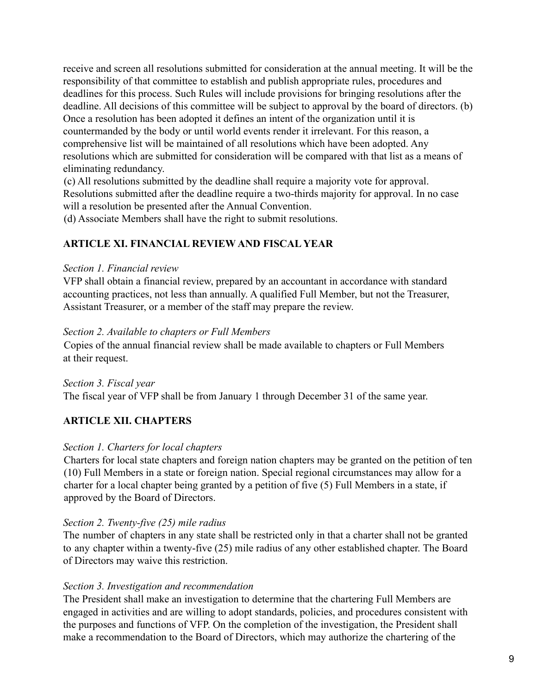receive and screen all resolutions submitted for consideration at the annual meeting. It will be the responsibility of that committee to establish and publish appropriate rules, procedures and deadlines for this process. Such Rules will include provisions for bringing resolutions after the deadline. All decisions of this committee will be subject to approval by the board of directors. (b) Once a resolution has been adopted it defines an intent of the organization until it is countermanded by the body or until world events render it irrelevant. For this reason, a comprehensive list will be maintained of all resolutions which have been adopted. Any resolutions which are submitted for consideration will be compared with that list as a means of eliminating redundancy.

(c) All resolutions submitted by the deadline shall require a majority vote for approval. Resolutions submitted after the deadline require a two-thirds majority for approval. In no case will a resolution be presented after the Annual Convention.

(d) Associate Members shall have the right to submit resolutions.

## **ARTICLE XI. FINANCIAL REVIEW AND FISCAL YEAR**

#### *Section 1. Financial review*

VFP shall obtain a financial review, prepared by an accountant in accordance with standard accounting practices, not less than annually. A qualified Full Member, but not the Treasurer, Assistant Treasurer, or a member of the staff may prepare the review.

## *Section 2. Available to chapters or Full Members*

Copies of the annual financial review shall be made available to chapters or Full Members at their request.

*Section 3. Fiscal year*

The fiscal year of VFP shall be from January 1 through December 31 of the same year.

# **ARTICLE XII. CHAPTERS**

## *Section 1. Charters for local chapters*

Charters for local state chapters and foreign nation chapters may be granted on the petition of ten (10) Full Members in a state or foreign nation. Special regional circumstances may allow for a charter for a local chapter being granted by a petition of five (5) Full Members in a state, if approved by the Board of Directors.

## *Section 2. Twenty-five (25) mile radius*

The number of chapters in any state shall be restricted only in that a charter shall not be granted to any chapter within a twenty-five (25) mile radius of any other established chapter. The Board of Directors may waive this restriction.

## *Section 3. Investigation and recommendation*

The President shall make an investigation to determine that the chartering Full Members are engaged in activities and are willing to adopt standards, policies, and procedures consistent with the purposes and functions of VFP. On the completion of the investigation, the President shall make a recommendation to the Board of Directors, which may authorize the chartering of the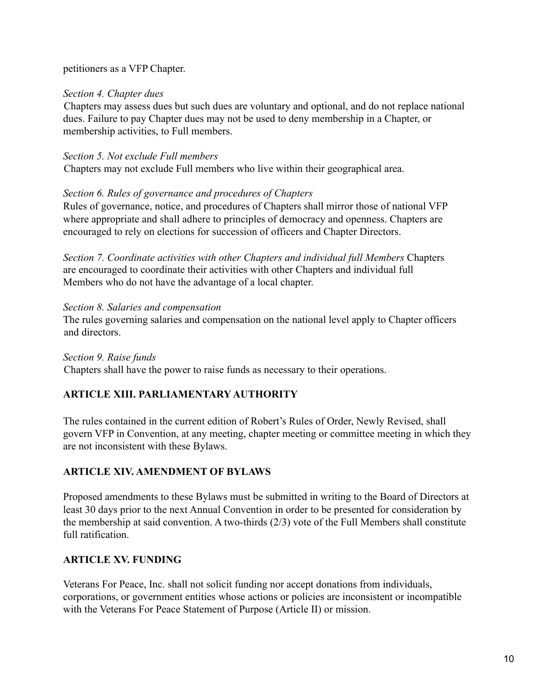petitioners as a VFP Chapter.

#### *Section 4. Chapter dues*

Chapters may assess dues but such dues are voluntary and optional, and do not replace national dues. Failure to pay Chapter dues may not be used to deny membership in a Chapter, or membership activities, to Full members.

#### *Section 5. Not exclude Full members*

Chapters may not exclude Full members who live within their geographical area.

#### *Section 6. Rules of governance and procedures of Chapters*

Rules of governance, notice, and procedures of Chapters shall mirror those of national VFP where appropriate and shall adhere to principles of democracy and openness. Chapters are encouraged to rely on elections for succession of officers and Chapter Directors.

*Section 7. Coordinate activities with other Chapters and individual full Members* Chapters are encouraged to coordinate their activities with other Chapters and individual full Members who do not have the advantage of a local chapter.

#### *Section 8. Salaries and compensation*

The rules governing salaries and compensation on the national level apply to Chapter officers and directors.

*Section 9. Raise funds* Chapters shall have the power to raise funds as necessary to their operations.

# **ARTICLE XIII. PARLIAMENTARY AUTHORITY**

The rules contained in the current edition of Robert's Rules of Order, Newly Revised, shall govern VFP in Convention, at any meeting, chapter meeting or committee meeting in which they are not inconsistent with these Bylaws.

## **ARTICLE XIV. AMENDMENT OF BYLAWS**

Proposed amendments to these Bylaws must be submitted in writing to the Board of Directors at least 30 days prior to the next Annual Convention in order to be presented for consideration by the membership at said convention. A two-thirds (2/3) vote of the Full Members shall constitute full ratification.

# **ARTICLE XV. FUNDING**

Veterans For Peace, Inc. shall not solicit funding nor accept donations from individuals, corporations, or government entities whose actions or policies are inconsistent or incompatible with the Veterans For Peace Statement of Purpose (Article II) or mission.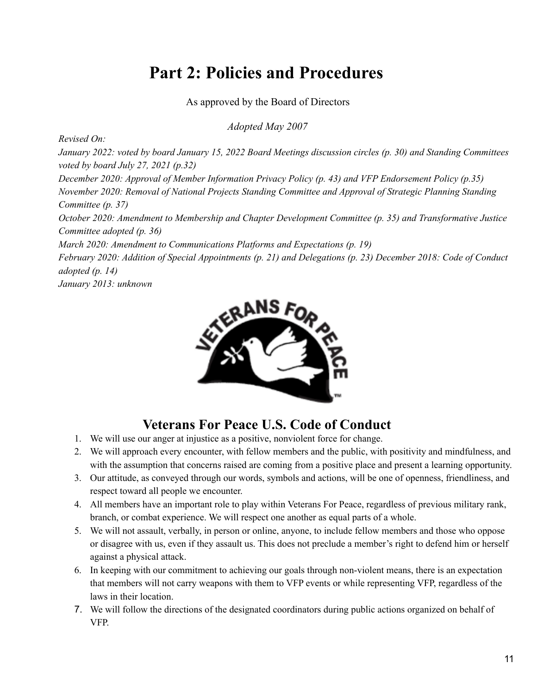# **Part 2: Policies and Procedures**

As approved by the Board of Directors

*Adopted May 2007*

*Revised On:*

January 2022: voted by board January 15, 2022 Board Meetings discussion circles (p. 30) and Standing Committees *voted by board July 27, 2021 (p.32)*

*December 2020: Approval of Member Information Privacy Policy (p. 43) and VFP Endorsement Policy (p.35) November 2020: Removal of National Projects Standing Committee and Approval of Strategic Planning Standing Committee (p. 37)*

*October 2020: Amendment to Membership and Chapter Development Committee (p. 35) and Transformative Justice Committee adopted (p. 36)*

*March 2020: Amendment to Communications Platforms and Expectations (p. 19)*

February 2020: Addition of Special Appointments  $(p, 21)$  and Delegations  $(p, 23)$  December 2018: Code of Conduct *adopted (p. 14)*

*January 2013: unknown*



# **Veterans For Peace U.S. Code of Conduct**

- 1. We will use our anger at injustice as a positive, nonviolent force for change.
- 2. We will approach every encounter, with fellow members and the public, with positivity and mindfulness, and with the assumption that concerns raised are coming from a positive place and present a learning opportunity.
- 3. Our attitude, as conveyed through our words, symbols and actions, will be one of openness, friendliness, and respect toward all people we encounter.
- 4. All members have an important role to play within Veterans For Peace, regardless of previous military rank, branch, or combat experience. We will respect one another as equal parts of a whole.
- 5. We will not assault, verbally, in person or online, anyone, to include fellow members and those who oppose or disagree with us, even if they assault us. This does not preclude a member's right to defend him or herself against a physical attack.
- 6. In keeping with our commitment to achieving our goals through non-violent means, there is an expectation that members will not carry weapons with them to VFP events or while representing VFP, regardless of the laws in their location.
- 7. We will follow the directions of the designated coordinators during public actions organized on behalf of VFP.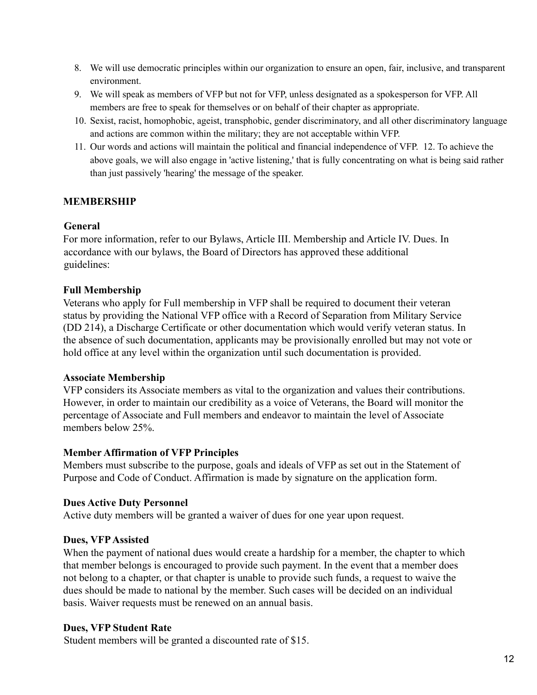- 8. We will use democratic principles within our organization to ensure an open, fair, inclusive, and transparent environment.
- 9. We will speak as members of VFP but not for VFP, unless designated as a spokesperson for VFP. All members are free to speak for themselves or on behalf of their chapter as appropriate.
- 10. Sexist, racist, homophobic, ageist, transphobic, gender discriminatory, and all other discriminatory language and actions are common within the military; they are not acceptable within VFP.
- 11. Our words and actions will maintain the political and financial independence of VFP. 12. To achieve the above goals, we will also engage in 'active listening,' that is fully concentrating on what is being said rather than just passively 'hearing' the message of the speaker.

# **MEMBERSHIP**

## **General**

For more information, refer to our Bylaws, Article III. Membership and Article IV. Dues. In accordance with our bylaws, the Board of Directors has approved these additional guidelines:

## **Full Membership**

Veterans who apply for Full membership in VFP shall be required to document their veteran status by providing the National VFP office with a Record of Separation from Military Service (DD 214), a Discharge Certificate or other documentation which would verify veteran status. In the absence of such documentation, applicants may be provisionally enrolled but may not vote or hold office at any level within the organization until such documentation is provided.

## **Associate Membership**

VFP considers its Associate members as vital to the organization and values their contributions. However, in order to maintain our credibility as a voice of Veterans, the Board will monitor the percentage of Associate and Full members and endeavor to maintain the level of Associate members below 25%.

## **Member Affirmation of VFP Principles**

Members must subscribe to the purpose, goals and ideals of VFP as set out in the Statement of Purpose and Code of Conduct. Affirmation is made by signature on the application form.

# **Dues Active Duty Personnel**

Active duty members will be granted a waiver of dues for one year upon request.

# **Dues, VFPAssisted**

When the payment of national dues would create a hardship for a member, the chapter to which that member belongs is encouraged to provide such payment. In the event that a member does not belong to a chapter, or that chapter is unable to provide such funds, a request to waive the dues should be made to national by the member. Such cases will be decided on an individual basis. Waiver requests must be renewed on an annual basis.

## **Dues, VFP Student Rate**

Student members will be granted a discounted rate of \$15.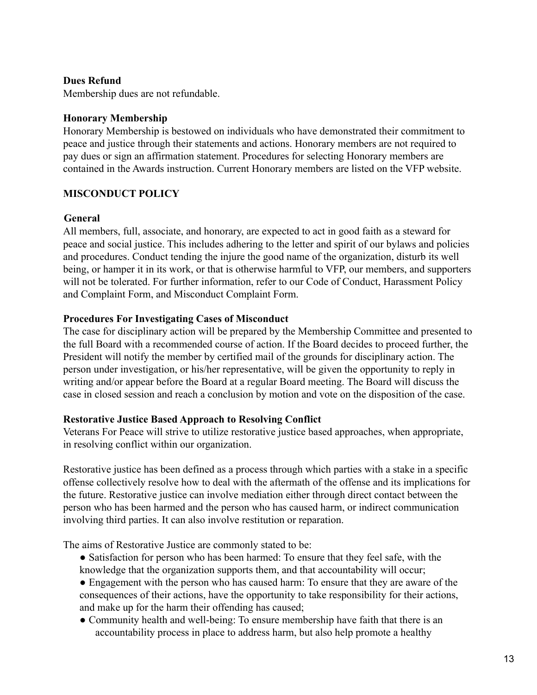## **Dues Refund**

Membership dues are not refundable.

#### **Honorary Membership**

Honorary Membership is bestowed on individuals who have demonstrated their commitment to peace and justice through their statements and actions. Honorary members are not required to pay dues or sign an affirmation statement. Procedures for selecting Honorary members are contained in the Awards instruction. Current Honorary members are listed on the VFP website.

#### **MISCONDUCT POLICY**

#### **General**

All members, full, associate, and honorary, are expected to act in good faith as a steward for peace and social justice. This includes adhering to the letter and spirit of our bylaws and policies and procedures. Conduct tending the injure the good name of the organization, disturb its well being, or hamper it in its work, or that is otherwise harmful to VFP, our members, and supporters will not be tolerated. For further information, refer to our Code of Conduct, Harassment Policy and Complaint Form, and Misconduct Complaint Form.

#### **Procedures For Investigating Cases of Misconduct**

The case for disciplinary action will be prepared by the Membership Committee and presented to the full Board with a recommended course of action. If the Board decides to proceed further, the President will notify the member by certified mail of the grounds for disciplinary action. The person under investigation, or his/her representative, will be given the opportunity to reply in writing and/or appear before the Board at a regular Board meeting. The Board will discuss the case in closed session and reach a conclusion by motion and vote on the disposition of the case.

#### **Restorative Justice Based Approach to Resolving Conflict**

Veterans For Peace will strive to utilize restorative justice based approaches, when appropriate, in resolving conflict within our organization.

Restorative justice has been defined as a process through which parties with a stake in a specific offense collectively resolve how to deal with the aftermath of the offense and its implications for the future. Restorative justice can involve mediation either through direct contact between the person who has been harmed and the person who has caused harm, or indirect communication involving third parties. It can also involve restitution or reparation.

The aims of Restorative Justice are commonly stated to be:

- Satisfaction for person who has been harmed: To ensure that they feel safe, with the knowledge that the organization supports them, and that accountability will occur;
- Engagement with the person who has caused harm: To ensure that they are aware of the consequences of their actions, have the opportunity to take responsibility for their actions, and make up for the harm their offending has caused;
- Community health and well-being: To ensure membership have faith that there is an accountability process in place to address harm, but also help promote a healthy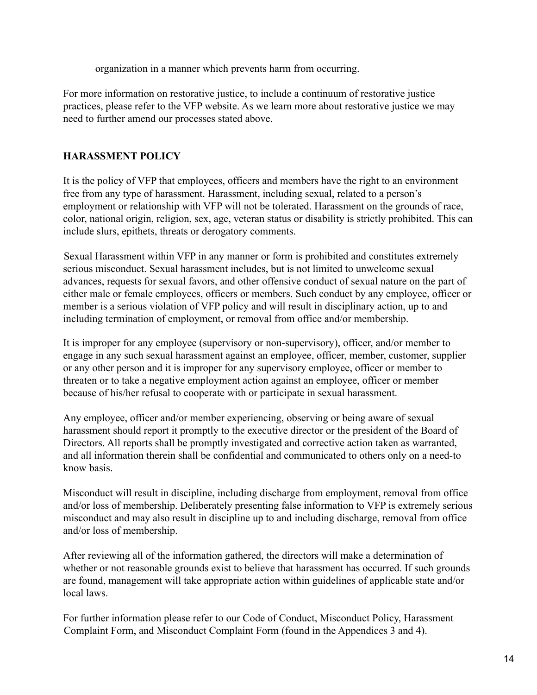organization in a manner which prevents harm from occurring.

For more information on restorative justice, to include a continuum of restorative justice practices, please refer to the VFP website. As we learn more about restorative justice we may need to further amend our processes stated above.

# **HARASSMENT POLICY**

It is the policy of VFP that employees, officers and members have the right to an environment free from any type of harassment. Harassment, including sexual, related to a person's employment or relationship with VFP will not be tolerated. Harassment on the grounds of race, color, national origin, religion, sex, age, veteran status or disability is strictly prohibited. This can include slurs, epithets, threats or derogatory comments.

Sexual Harassment within VFP in any manner or form is prohibited and constitutes extremely serious misconduct. Sexual harassment includes, but is not limited to unwelcome sexual advances, requests for sexual favors, and other offensive conduct of sexual nature on the part of either male or female employees, officers or members. Such conduct by any employee, officer or member is a serious violation of VFP policy and will result in disciplinary action, up to and including termination of employment, or removal from office and/or membership.

It is improper for any employee (supervisory or non-supervisory), officer, and/or member to engage in any such sexual harassment against an employee, officer, member, customer, supplier or any other person and it is improper for any supervisory employee, officer or member to threaten or to take a negative employment action against an employee, officer or member because of his/her refusal to cooperate with or participate in sexual harassment.

Any employee, officer and/or member experiencing, observing or being aware of sexual harassment should report it promptly to the executive director or the president of the Board of Directors. All reports shall be promptly investigated and corrective action taken as warranted, and all information therein shall be confidential and communicated to others only on a need-to know basis.

Misconduct will result in discipline, including discharge from employment, removal from office and/or loss of membership. Deliberately presenting false information to VFP is extremely serious misconduct and may also result in discipline up to and including discharge, removal from office and/or loss of membership.

After reviewing all of the information gathered, the directors will make a determination of whether or not reasonable grounds exist to believe that harassment has occurred. If such grounds are found, management will take appropriate action within guidelines of applicable state and/or local laws.

For further information please refer to our Code of Conduct, Misconduct Policy, Harassment Complaint Form, and Misconduct Complaint Form (found in the Appendices 3 and 4).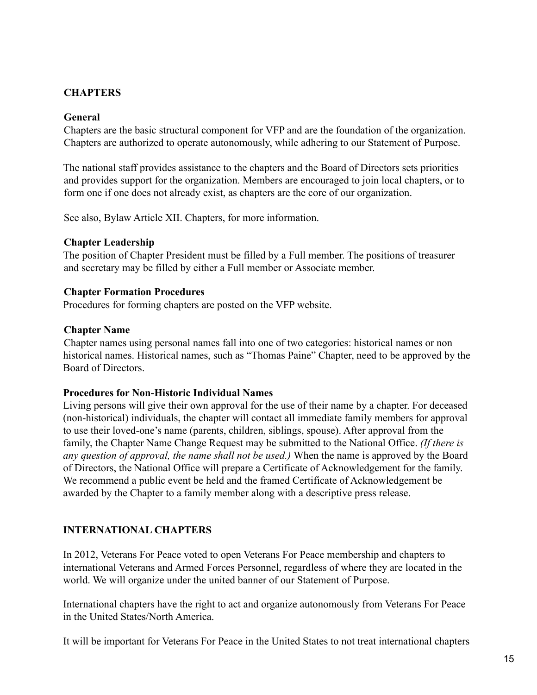# **CHAPTERS**

#### **General**

Chapters are the basic structural component for VFP and are the foundation of the organization. Chapters are authorized to operate autonomously, while adhering to our Statement of Purpose.

The national staff provides assistance to the chapters and the Board of Directors sets priorities and provides support for the organization. Members are encouraged to join local chapters, or to form one if one does not already exist, as chapters are the core of our organization.

See also, Bylaw Article XII. Chapters, for more information.

#### **Chapter Leadership**

The position of Chapter President must be filled by a Full member. The positions of treasurer and secretary may be filled by either a Full member or Associate member.

#### **Chapter Formation Procedures**

Procedures for forming chapters are posted on the VFP website.

#### **Chapter Name**

Chapter names using personal names fall into one of two categories: historical names or non historical names. Historical names, such as "Thomas Paine" Chapter, need to be approved by the Board of Directors.

#### **Procedures for Non-Historic Individual Names**

Living persons will give their own approval for the use of their name by a chapter. For deceased (non-historical) individuals, the chapter will contact all immediate family members for approval to use their loved-one's name (parents, children, siblings, spouse). After approval from the family, the Chapter Name Change Request may be submitted to the National Office. *(If there is any question of approval, the name shall not be used.)* When the name is approved by the Board of Directors, the National Office will prepare a Certificate of Acknowledgement for the family. We recommend a public event be held and the framed Certificate of Acknowledgement be awarded by the Chapter to a family member along with a descriptive press release.

## **INTERNATIONAL CHAPTERS**

In 2012, Veterans For Peace voted to open Veterans For Peace membership and chapters to international Veterans and Armed Forces Personnel, regardless of where they are located in the world. We will organize under the united banner of our Statement of Purpose.

International chapters have the right to act and organize autonomously from Veterans For Peace in the United States/North America.

It will be important for Veterans For Peace in the United States to not treat international chapters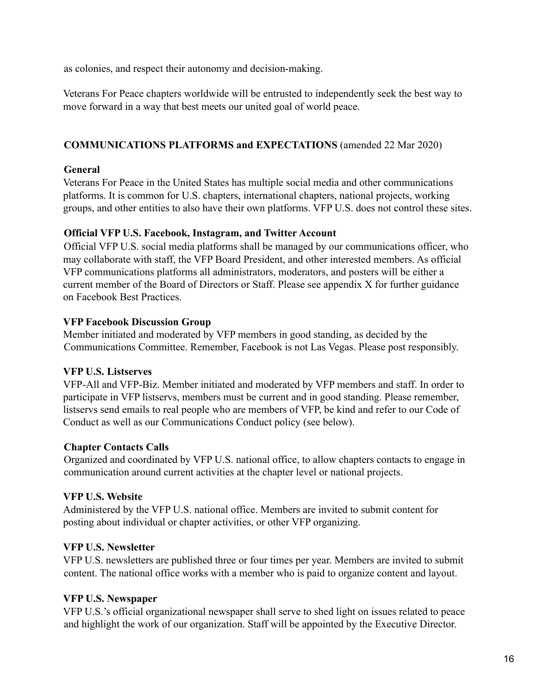as colonies, and respect their autonomy and decision-making.

Veterans For Peace chapters worldwide will be entrusted to independently seek the best way to move forward in a way that best meets our united goal of world peace.

# **COMMUNICATIONS PLATFORMS and EXPECTATIONS** (amended 22 Mar 2020)

## **General**

Veterans For Peace in the United States has multiple social media and other communications platforms. It is common for U.S. chapters, international chapters, national projects, working groups, and other entities to also have their own platforms. VFP U.S. does not control these sites.

## **Official VFP U.S. Facebook, Instagram, and Twitter Account**

Official VFP U.S. social media platforms shall be managed by our communications officer, who may collaborate with staff, the VFP Board President, and other interested members. As official VFP communications platforms all administrators, moderators, and posters will be either a current member of the Board of Directors or Staff. Please see appendix X for further guidance on Facebook Best Practices.

## **VFP Facebook Discussion Group**

Member initiated and moderated by VFP members in good standing, as decided by the Communications Committee. Remember, Facebook is not Las Vegas. Please post responsibly.

# **VFP U.S. Listserves**

VFP-All and VFP-Biz. Member initiated and moderated by VFP members and staff. In order to participate in VFP listservs, members must be current and in good standing. Please remember, listservs send emails to real people who are members of VFP, be kind and refer to our Code of Conduct as well as our Communications Conduct policy (see below).

# **Chapter Contacts Calls**

Organized and coordinated by VFP U.S. national office, to allow chapters contacts to engage in communication around current activities at the chapter level or national projects.

# **VFP U.S. Website**

Administered by the VFP U.S. national office. Members are invited to submit content for posting about individual or chapter activities, or other VFP organizing.

# **VFP U.S. Newsletter**

VFP U.S. newsletters are published three or four times per year. Members are invited to submit content. The national office works with a member who is paid to organize content and layout.

# **VFP U.S. Newspaper**

VFP U.S.'s official organizational newspaper shall serve to shed light on issues related to peace and highlight the work of our organization. Staff will be appointed by the Executive Director.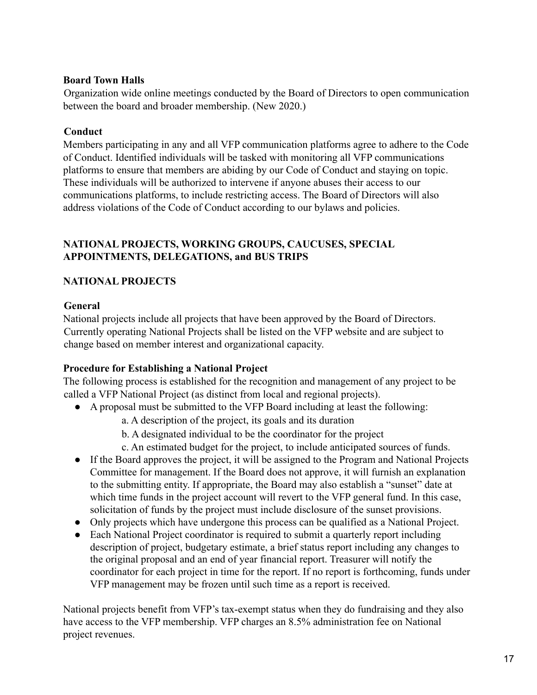## **Board Town Halls**

Organization wide online meetings conducted by the Board of Directors to open communication between the board and broader membership. (New 2020.)

## **Conduct**

Members participating in any and all VFP communication platforms agree to adhere to the Code of Conduct. Identified individuals will be tasked with monitoring all VFP communications platforms to ensure that members are abiding by our Code of Conduct and staying on topic. These individuals will be authorized to intervene if anyone abuses their access to our communications platforms, to include restricting access. The Board of Directors will also address violations of the Code of Conduct according to our bylaws and policies.

## **NATIONAL PROJECTS, WORKING GROUPS, CAUCUSES, SPECIAL APPOINTMENTS, DELEGATIONS, and BUS TRIPS**

# **NATIONAL PROJECTS**

## **General**

National projects include all projects that have been approved by the Board of Directors. Currently operating National Projects shall be listed on the VFP website and are subject to change based on member interest and organizational capacity.

# **Procedure for Establishing a National Project**

The following process is established for the recognition and management of any project to be called a VFP National Project (as distinct from local and regional projects).

- A proposal must be submitted to the VFP Board including at least the following:
	- a. A description of the project, its goals and its duration
	- b. A designated individual to be the coordinator for the project
	- c. An estimated budget for the project, to include anticipated sources of funds.
- If the Board approves the project, it will be assigned to the Program and National Projects Committee for management. If the Board does not approve, it will furnish an explanation to the submitting entity. If appropriate, the Board may also establish a "sunset" date at which time funds in the project account will revert to the VFP general fund. In this case, solicitation of funds by the project must include disclosure of the sunset provisions.
- Only projects which have undergone this process can be qualified as a National Project.
- Each National Project coordinator is required to submit a quarterly report including description of project, budgetary estimate, a brief status report including any changes to the original proposal and an end of year financial report. Treasurer will notify the coordinator for each project in time for the report. If no report is forthcoming, funds under VFP management may be frozen until such time as a report is received.

National projects benefit from VFP's tax-exempt status when they do fundraising and they also have access to the VFP membership. VFP charges an 8.5% administration fee on National project revenues.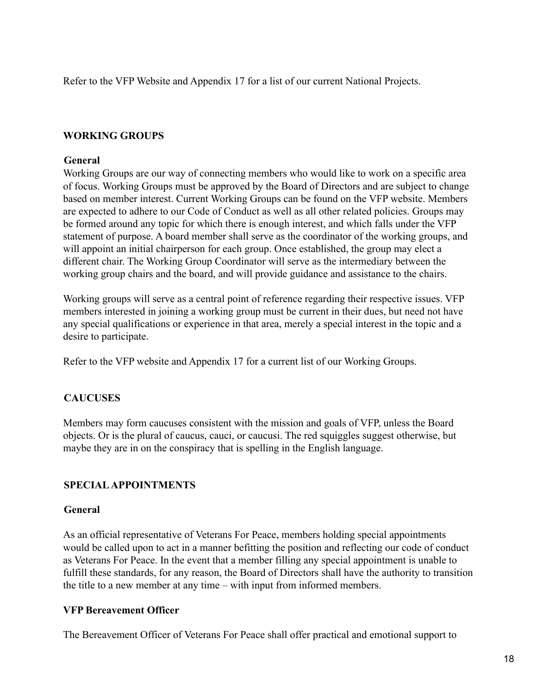Refer to the VFP Website and Appendix 17 for a list of our current National Projects.

## **WORKING GROUPS**

#### **General**

Working Groups are our way of connecting members who would like to work on a specific area of focus. Working Groups must be approved by the Board of Directors and are subject to change based on member interest. Current Working Groups can be found on the VFP website. Members are expected to adhere to our Code of Conduct as well as all other related policies. Groups may be formed around any topic for which there is enough interest, and which falls under the VFP statement of purpose. A board member shall serve as the coordinator of the working groups, and will appoint an initial chairperson for each group. Once established, the group may elect a different chair. The Working Group Coordinator will serve as the intermediary between the working group chairs and the board, and will provide guidance and assistance to the chairs.

Working groups will serve as a central point of reference regarding their respective issues. VFP members interested in joining a working group must be current in their dues, but need not have any special qualifications or experience in that area, merely a special interest in the topic and a desire to participate.

Refer to the VFP website and Appendix 17 for a current list of our Working Groups.

## **CAUCUSES**

Members may form caucuses consistent with the mission and goals of VFP, unless the Board objects. Or is the plural of caucus, cauci, or caucusi. The red squiggles suggest otherwise, but maybe they are in on the conspiracy that is spelling in the English language.

## **SPECIALAPPOINTMENTS**

## **General**

As an official representative of Veterans For Peace, members holding special appointments would be called upon to act in a manner befitting the position and reflecting our code of conduct as Veterans For Peace. In the event that a member filling any special appointment is unable to fulfill these standards, for any reason, the Board of Directors shall have the authority to transition the title to a new member at any time – with input from informed members.

## **VFP Bereavement Officer**

The Bereavement Officer of Veterans For Peace shall offer practical and emotional support to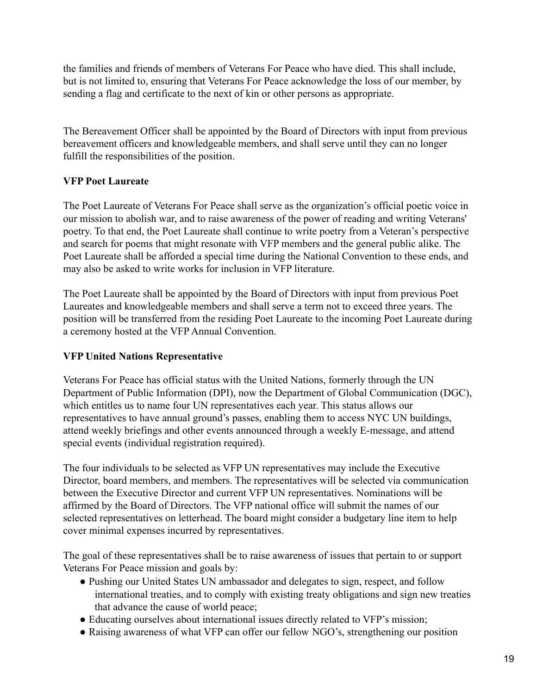the families and friends of members of Veterans For Peace who have died. This shall include, but is not limited to, ensuring that Veterans For Peace acknowledge the loss of our member, by sending a flag and certificate to the next of kin or other persons as appropriate.

The Bereavement Officer shall be appointed by the Board of Directors with input from previous bereavement officers and knowledgeable members, and shall serve until they can no longer fulfill the responsibilities of the position.

# **VFP Poet Laureate**

The Poet Laureate of Veterans For Peace shall serve as the organization's official poetic voice in our mission to abolish war, and to raise awareness of the power of reading and writing Veterans' poetry. To that end, the Poet Laureate shall continue to write poetry from a Veteran's perspective and search for poems that might resonate with VFP members and the general public alike. The Poet Laureate shall be afforded a special time during the National Convention to these ends, and may also be asked to write works for inclusion in VFP literature.

The Poet Laureate shall be appointed by the Board of Directors with input from previous Poet Laureates and knowledgeable members and shall serve a term not to exceed three years. The position will be transferred from the residing Poet Laureate to the incoming Poet Laureate during a ceremony hosted at the VFP Annual Convention.

## **VFP United Nations Representative**

Veterans For Peace has official status with the United Nations, formerly through the UN Department of Public Information (DPI), now the Department of Global Communication (DGC), which entitles us to name four UN representatives each year. This status allows our representatives to have annual ground's passes, enabling them to access NYC UN buildings, attend weekly briefings and other events announced through a weekly E-message, and attend special events (individual registration required).

The four individuals to be selected as VFP UN representatives may include the Executive Director, board members, and members. The representatives will be selected via communication between the Executive Director and current VFP UN representatives. Nominations will be affirmed by the Board of Directors. The VFP national office will submit the names of our selected representatives on letterhead. The board might consider a budgetary line item to help cover minimal expenses incurred by representatives.

The goal of these representatives shall be to raise awareness of issues that pertain to or support Veterans For Peace mission and goals by:

- Pushing our United States UN ambassador and delegates to sign, respect, and follow international treaties, and to comply with existing treaty obligations and sign new treaties that advance the cause of world peace;
- Educating ourselves about international issues directly related to VFP's mission;
- Raising awareness of what VFP can offer our fellow NGO's, strengthening our position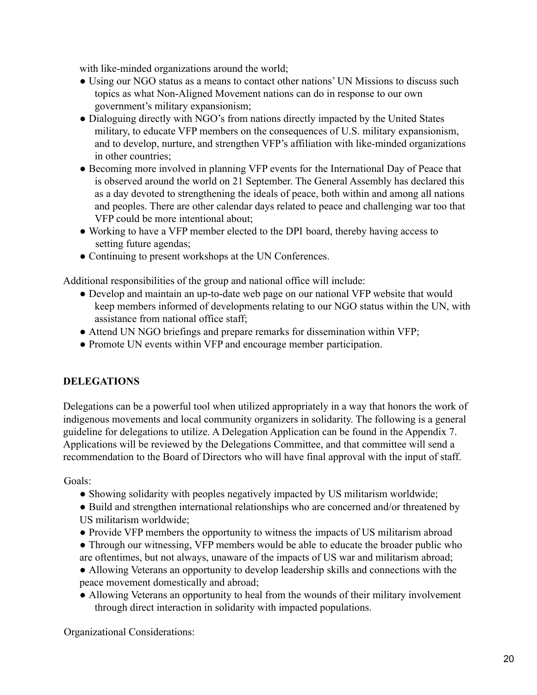with like-minded organizations around the world;

- Using our NGO status as a means to contact other nations' UN Missions to discuss such topics as what Non-Aligned Movement nations can do in response to our own government's military expansionism;
- Dialoguing directly with NGO's from nations directly impacted by the United States military, to educate VFP members on the consequences of U.S. military expansionism, and to develop, nurture, and strengthen VFP's affiliation with like-minded organizations in other countries;
- Becoming more involved in planning VFP events for the International Day of Peace that is observed around the world on 21 September. The General Assembly has declared this as a day devoted to strengthening the ideals of peace, both within and among all nations and peoples. There are other calendar days related to peace and challenging war too that VFP could be more intentional about;
- Working to have a VFP member elected to the DPI board, thereby having access to setting future agendas;
- Continuing to present workshops at the UN Conferences.

Additional responsibilities of the group and national office will include:

- Develop and maintain an up-to-date web page on our national VFP website that would keep members informed of developments relating to our NGO status within the UN, with assistance from national office staff;
- Attend UN NGO briefings and prepare remarks for dissemination within VFP;
- Promote UN events within VFP and encourage member participation.

# **DELEGATIONS**

Delegations can be a powerful tool when utilized appropriately in a way that honors the work of indigenous movements and local community organizers in solidarity. The following is a general guideline for delegations to utilize. A Delegation Application can be found in the Appendix 7. Applications will be reviewed by the Delegations Committee, and that committee will send a recommendation to the Board of Directors who will have final approval with the input of staff.

Goals:

- Showing solidarity with peoples negatively impacted by US militarism worldwide;
- Build and strengthen international relationships who are concerned and/or threatened by US militarism worldwide;
- Provide VFP members the opportunity to witness the impacts of US militarism abroad
- Through our witnessing, VFP members would be able to educate the broader public who are oftentimes, but not always, unaware of the impacts of US war and militarism abroad;
- Allowing Veterans an opportunity to develop leadership skills and connections with the peace movement domestically and abroad;
- Allowing Veterans an opportunity to heal from the wounds of their military involvement through direct interaction in solidarity with impacted populations.

Organizational Considerations: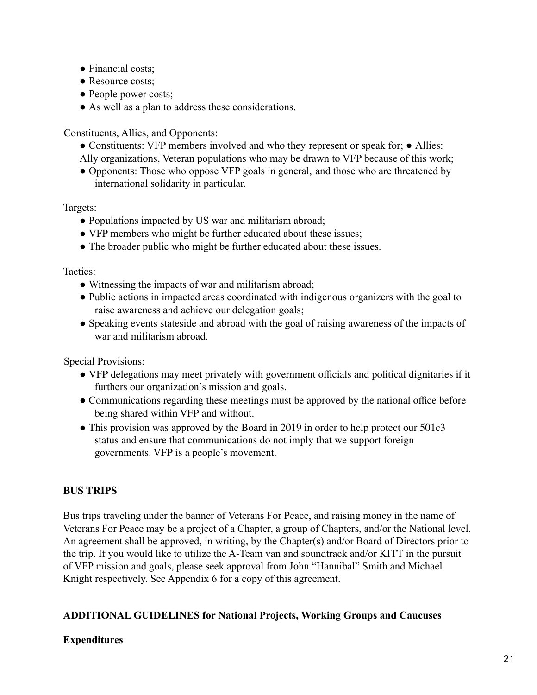- Financial costs;
- Resource costs;
- People power costs;
- As well as a plan to address these considerations.

Constituents, Allies, and Opponents:

- Constituents: VFP members involved and who they represent or speak for; Allies:
- Ally organizations, Veteran populations who may be drawn to VFP because of this work;
- Opponents: Those who oppose VFP goals in general, and those who are threatened by international solidarity in particular.

Targets:

- Populations impacted by US war and militarism abroad;
- VFP members who might be further educated about these issues;
- The broader public who might be further educated about these issues.

Tactics:

- Witnessing the impacts of war and militarism abroad;
- Public actions in impacted areas coordinated with indigenous organizers with the goal to raise awareness and achieve our delegation goals;
- Speaking events stateside and abroad with the goal of raising awareness of the impacts of war and militarism abroad.

Special Provisions:

- VFP delegations may meet privately with government officials and political dignitaries if it furthers our organization's mission and goals.
- Communications regarding these meetings must be approved by the national office before being shared within VFP and without.
- This provision was approved by the Board in 2019 in order to help protect our 501c3 status and ensure that communications do not imply that we support foreign governments. VFP is a people's movement.

# **BUS TRIPS**

Bus trips traveling under the banner of Veterans For Peace, and raising money in the name of Veterans For Peace may be a project of a Chapter, a group of Chapters, and/or the National level. An agreement shall be approved, in writing, by the Chapter(s) and/or Board of Directors prior to the trip. If you would like to utilize the A-Team van and soundtrack and/or KITT in the pursuit of VFP mission and goals, please seek approval from John "Hannibal" Smith and Michael Knight respectively. See Appendix 6 for a copy of this agreement.

# **ADDITIONAL GUIDELINES for National Projects, Working Groups and Caucuses**

# **Expenditures**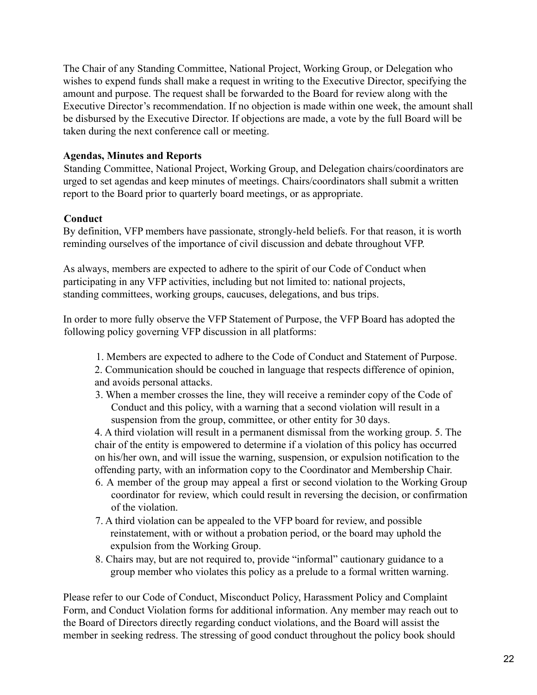The Chair of any Standing Committee, National Project, Working Group, or Delegation who wishes to expend funds shall make a request in writing to the Executive Director, specifying the amount and purpose. The request shall be forwarded to the Board for review along with the Executive Director's recommendation. If no objection is made within one week, the amount shall be disbursed by the Executive Director. If objections are made, a vote by the full Board will be taken during the next conference call or meeting.

## **Agendas, Minutes and Reports**

Standing Committee, National Project, Working Group, and Delegation chairs/coordinators are urged to set agendas and keep minutes of meetings. Chairs/coordinators shall submit a written report to the Board prior to quarterly board meetings, or as appropriate.

## **Conduct**

By definition, VFP members have passionate, strongly-held beliefs. For that reason, it is worth reminding ourselves of the importance of civil discussion and debate throughout VFP.

As always, members are expected to adhere to the spirit of our Code of Conduct when participating in any VFP activities, including but not limited to: national projects, standing committees, working groups, caucuses, delegations, and bus trips.

In order to more fully observe the VFP Statement of Purpose, the VFP Board has adopted the following policy governing VFP discussion in all platforms:

1. Members are expected to adhere to the Code of Conduct and Statement of Purpose.

2. Communication should be couched in language that respects difference of opinion, and avoids personal attacks.

3. When a member crosses the line, they will receive a reminder copy of the Code of Conduct and this policy, with a warning that a second violation will result in a suspension from the group, committee, or other entity for 30 days.

4. A third violation will result in a permanent dismissal from the working group. 5. The chair of the entity is empowered to determine if a violation of this policy has occurred on his/her own, and will issue the warning, suspension, or expulsion notification to the offending party, with an information copy to the Coordinator and Membership Chair.

- 6. A member of the group may appeal a first or second violation to the Working Group coordinator for review, which could result in reversing the decision, or confirmation of the violation.
- 7. A third violation can be appealed to the VFP board for review, and possible reinstatement, with or without a probation period, or the board may uphold the expulsion from the Working Group.
- 8. Chairs may, but are not required to, provide "informal" cautionary guidance to a group member who violates this policy as a prelude to a formal written warning.

Please refer to our Code of Conduct, Misconduct Policy, Harassment Policy and Complaint Form, and Conduct Violation forms for additional information. Any member may reach out to the Board of Directors directly regarding conduct violations, and the Board will assist the member in seeking redress. The stressing of good conduct throughout the policy book should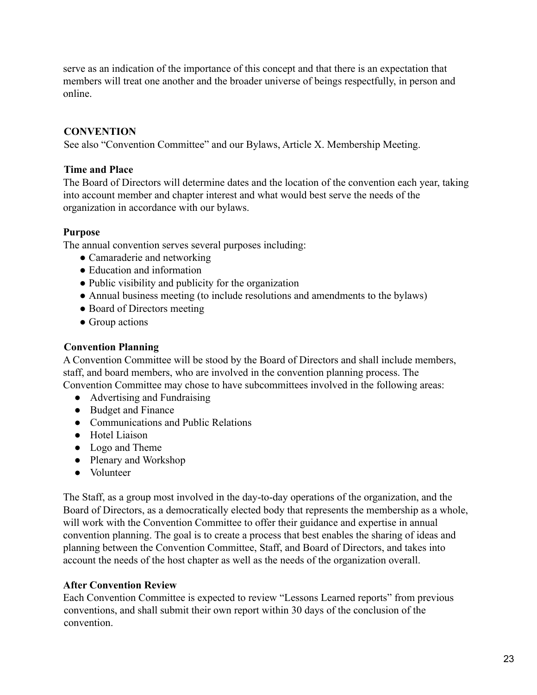serve as an indication of the importance of this concept and that there is an expectation that members will treat one another and the broader universe of beings respectfully, in person and online.

# **CONVENTION**

See also "Convention Committee" and our Bylaws, Article X. Membership Meeting.

# **Time and Place**

The Board of Directors will determine dates and the location of the convention each year, taking into account member and chapter interest and what would best serve the needs of the organization in accordance with our bylaws.

# **Purpose**

The annual convention serves several purposes including:

- Camaraderie and networking
- Education and information
- Public visibility and publicity for the organization
- Annual business meeting (to include resolutions and amendments to the bylaws)
- Board of Directors meeting
- Group actions

# **Convention Planning**

A Convention Committee will be stood by the Board of Directors and shall include members, staff, and board members, who are involved in the convention planning process. The Convention Committee may chose to have subcommittees involved in the following areas:

- Advertising and Fundraising
- Budget and Finance
- Communications and Public Relations
- Hotel Liaison
- Logo and Theme
- Plenary and Workshop
- Volunteer

The Staff, as a group most involved in the day-to-day operations of the organization, and the Board of Directors, as a democratically elected body that represents the membership as a whole, will work with the Convention Committee to offer their guidance and expertise in annual convention planning. The goal is to create a process that best enables the sharing of ideas and planning between the Convention Committee, Staff, and Board of Directors, and takes into account the needs of the host chapter as well as the needs of the organization overall.

# **After Convention Review**

Each Convention Committee is expected to review "Lessons Learned reports" from previous conventions, and shall submit their own report within 30 days of the conclusion of the convention.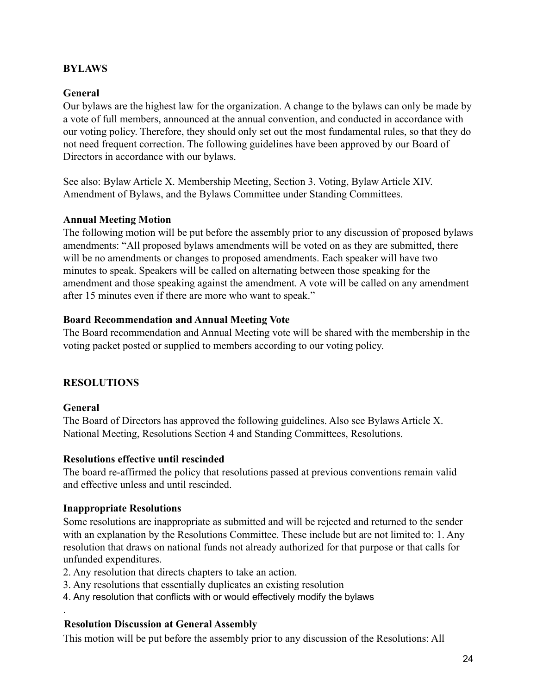## **BYLAWS**

#### **General**

Our bylaws are the highest law for the organization. A change to the bylaws can only be made by a vote of full members, announced at the annual convention, and conducted in accordance with our voting policy. Therefore, they should only set out the most fundamental rules, so that they do not need frequent correction. The following guidelines have been approved by our Board of Directors in accordance with our bylaws.

See also: Bylaw Article X. Membership Meeting, Section 3. Voting, Bylaw Article XIV. Amendment of Bylaws, and the Bylaws Committee under Standing Committees.

#### **Annual Meeting Motion**

The following motion will be put before the assembly prior to any discussion of proposed bylaws amendments: "All proposed bylaws amendments will be voted on as they are submitted, there will be no amendments or changes to proposed amendments. Each speaker will have two minutes to speak. Speakers will be called on alternating between those speaking for the amendment and those speaking against the amendment. A vote will be called on any amendment after 15 minutes even if there are more who want to speak."

#### **Board Recommendation and Annual Meeting Vote**

The Board recommendation and Annual Meeting vote will be shared with the membership in the voting packet posted or supplied to members according to our voting policy.

#### **RESOLUTIONS**

#### **General**

.

The Board of Directors has approved the following guidelines. Also see Bylaws Article X. National Meeting, Resolutions Section 4 and Standing Committees, Resolutions.

#### **Resolutions effective until rescinded**

The board re-affirmed the policy that resolutions passed at previous conventions remain valid and effective unless and until rescinded.

#### **Inappropriate Resolutions**

Some resolutions are inappropriate as submitted and will be rejected and returned to the sender with an explanation by the Resolutions Committee. These include but are not limited to: 1. Any resolution that draws on national funds not already authorized for that purpose or that calls for unfunded expenditures.

- 2. Any resolution that directs chapters to take an action.
- 3. Any resolutions that essentially duplicates an existing resolution
- 4. Any resolution that conflicts with or would effectively modify the bylaws

#### **Resolution Discussion at General Assembly**

This motion will be put before the assembly prior to any discussion of the Resolutions: All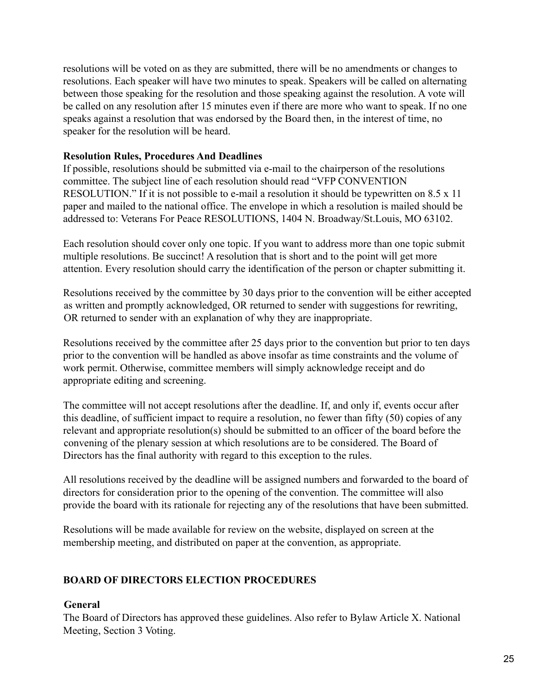resolutions will be voted on as they are submitted, there will be no amendments or changes to resolutions. Each speaker will have two minutes to speak. Speakers will be called on alternating between those speaking for the resolution and those speaking against the resolution. A vote will be called on any resolution after 15 minutes even if there are more who want to speak. If no one speaks against a resolution that was endorsed by the Board then, in the interest of time, no speaker for the resolution will be heard.

## **Resolution Rules, Procedures And Deadlines**

If possible, resolutions should be submitted via e-mail to the chairperson of the resolutions committee. The subject line of each resolution should read "VFP CONVENTION RESOLUTION." If it is not possible to e-mail a resolution it should be typewritten on 8.5 x 11 paper and mailed to the national office. The envelope in which a resolution is mailed should be addressed to: Veterans For Peace RESOLUTIONS, 1404 N. Broadway/St.Louis, MO 63102.

Each resolution should cover only one topic. If you want to address more than one topic submit multiple resolutions. Be succinct! A resolution that is short and to the point will get more attention. Every resolution should carry the identification of the person or chapter submitting it.

Resolutions received by the committee by 30 days prior to the convention will be either accepted as written and promptly acknowledged, OR returned to sender with suggestions for rewriting, OR returned to sender with an explanation of why they are inappropriate.

Resolutions received by the committee after 25 days prior to the convention but prior to ten days prior to the convention will be handled as above insofar as time constraints and the volume of work permit. Otherwise, committee members will simply acknowledge receipt and do appropriate editing and screening.

The committee will not accept resolutions after the deadline. If, and only if, events occur after this deadline, of sufficient impact to require a resolution, no fewer than fifty (50) copies of any relevant and appropriate resolution(s) should be submitted to an officer of the board before the convening of the plenary session at which resolutions are to be considered. The Board of Directors has the final authority with regard to this exception to the rules.

All resolutions received by the deadline will be assigned numbers and forwarded to the board of directors for consideration prior to the opening of the convention. The committee will also provide the board with its rationale for rejecting any of the resolutions that have been submitted.

Resolutions will be made available for review on the website, displayed on screen at the membership meeting, and distributed on paper at the convention, as appropriate.

# **BOARD OF DIRECTORS ELECTION PROCEDURES**

## **General**

The Board of Directors has approved these guidelines. Also refer to Bylaw Article X. National Meeting, Section 3 Voting.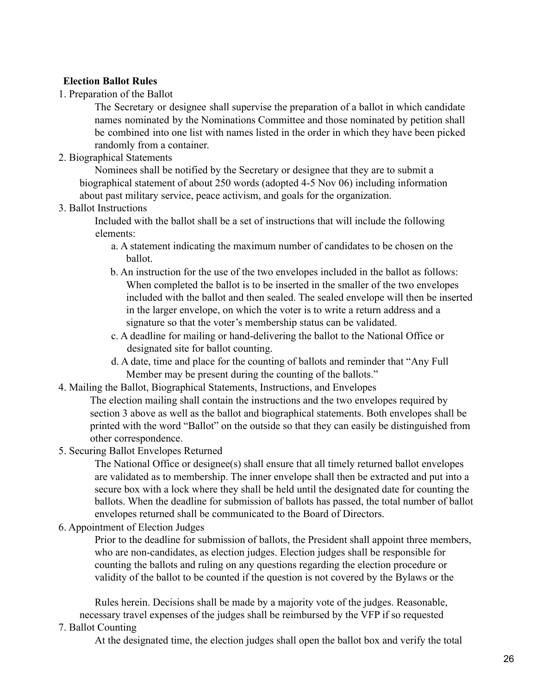## **Election Ballot Rules**

1. Preparation of the Ballot

The Secretary or designee shall supervise the preparation of a ballot in which candidate names nominated by the Nominations Committee and those nominated by petition shall be combined into one list with names listed in the order in which they have been picked randomly from a container.

2. Biographical Statements

Nominees shall be notified by the Secretary or designee that they are to submit a biographical statement of about 250 words (adopted 4-5 Nov 06) including information about past military service, peace activism, and goals for the organization.

#### 3. Ballot Instructions

Included with the ballot shall be a set of instructions that will include the following elements:

- a. A statement indicating the maximum number of candidates to be chosen on the ballot.
- b. An instruction for the use of the two envelopes included in the ballot as follows: When completed the ballot is to be inserted in the smaller of the two envelopes included with the ballot and then sealed. The sealed envelope will then be inserted in the larger envelope, on which the voter is to write a return address and a signature so that the voter's membership status can be validated.
- c. A deadline for mailing or hand-delivering the ballot to the National Office or designated site for ballot counting.
- d. A date, time and place for the counting of ballots and reminder that "Any Full Member may be present during the counting of the ballots."
- 4. Mailing the Ballot, Biographical Statements, Instructions, and Envelopes
	- The election mailing shall contain the instructions and the two envelopes required by section 3 above as well as the ballot and biographical statements. Both envelopes shall be printed with the word "Ballot" on the outside so that they can easily be distinguished from other correspondence.
- 5. Securing Ballot Envelopes Returned

The National Office or designee(s) shall ensure that all timely returned ballot envelopes are validated as to membership. The inner envelope shall then be extracted and put into a secure box with a lock where they shall be held until the designated date for counting the ballots. When the deadline for submission of ballots has passed, the total number of ballot envelopes returned shall be communicated to the Board of Directors.

6. Appointment of Election Judges

Prior to the deadline for submission of ballots, the President shall appoint three members, who are non-candidates, as election judges. Election judges shall be responsible for counting the ballots and ruling on any questions regarding the election procedure or validity of the ballot to be counted if the question is not covered by the Bylaws or the

Rules herein. Decisions shall be made by a majority vote of the judges. Reasonable, necessary travel expenses of the judges shall be reimbursed by the VFP if so requested

## 7. Ballot Counting

At the designated time, the election judges shall open the ballot box and verify the total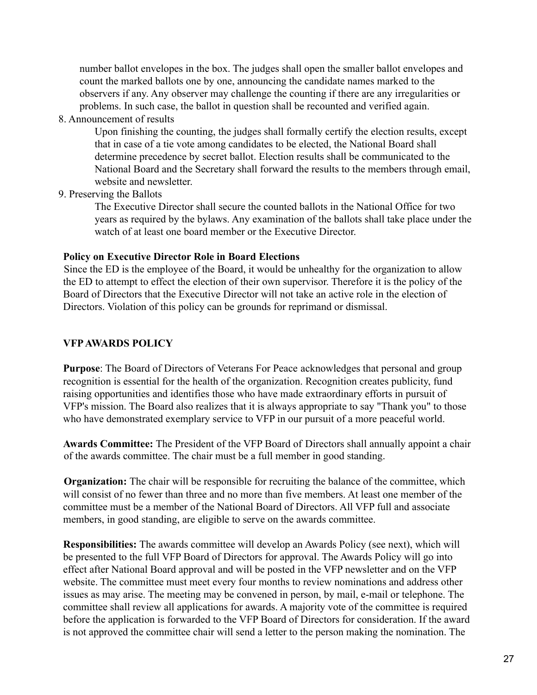number ballot envelopes in the box. The judges shall open the smaller ballot envelopes and count the marked ballots one by one, announcing the candidate names marked to the observers if any. Any observer may challenge the counting if there are any irregularities or problems. In such case, the ballot in question shall be recounted and verified again.

8. Announcement of results

Upon finishing the counting, the judges shall formally certify the election results, except that in case of a tie vote among candidates to be elected, the National Board shall determine precedence by secret ballot. Election results shall be communicated to the National Board and the Secretary shall forward the results to the members through email, website and newsletter.

9. Preserving the Ballots

The Executive Director shall secure the counted ballots in the National Office for two years as required by the bylaws. Any examination of the ballots shall take place under the watch of at least one board member or the Executive Director.

#### **Policy on Executive Director Role in Board Elections**

Since the ED is the employee of the Board, it would be unhealthy for the organization to allow the ED to attempt to effect the election of their own supervisor. Therefore it is the policy of the Board of Directors that the Executive Director will not take an active role in the election of Directors. Violation of this policy can be grounds for reprimand or dismissal.

## **VFPAWARDS POLICY**

**Purpose**: The Board of Directors of Veterans For Peace acknowledges that personal and group recognition is essential for the health of the organization. Recognition creates publicity, fund raising opportunities and identifies those who have made extraordinary efforts in pursuit of VFP's mission. The Board also realizes that it is always appropriate to say "Thank you" to those who have demonstrated exemplary service to VFP in our pursuit of a more peaceful world.

**Awards Committee:** The President of the VFP Board of Directors shall annually appoint a chair of the awards committee. The chair must be a full member in good standing.

**Organization:** The chair will be responsible for recruiting the balance of the committee, which will consist of no fewer than three and no more than five members. At least one member of the committee must be a member of the National Board of Directors. All VFP full and associate members, in good standing, are eligible to serve on the awards committee.

**Responsibilities:** The awards committee will develop an Awards Policy (see next), which will be presented to the full VFP Board of Directors for approval. The Awards Policy will go into effect after National Board approval and will be posted in the VFP newsletter and on the VFP website. The committee must meet every four months to review nominations and address other issues as may arise. The meeting may be convened in person, by mail, e-mail or telephone. The committee shall review all applications for awards. A majority vote of the committee is required before the application is forwarded to the VFP Board of Directors for consideration. If the award is not approved the committee chair will send a letter to the person making the nomination. The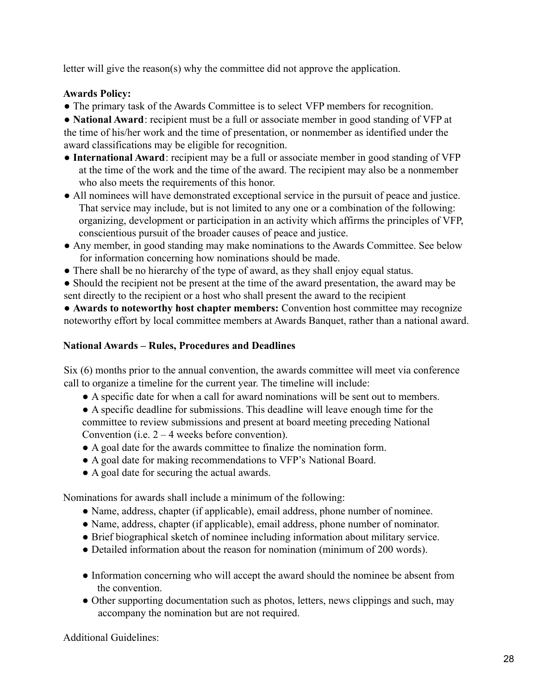letter will give the reason(s) why the committee did not approve the application.

## **Awards Policy:**

● The primary task of the Awards Committee is to select VFP members for recognition.

● **National Award**: recipient must be a full or associate member in good standing of VFP at the time of his/her work and the time of presentation, or nonmember as identified under the award classifications may be eligible for recognition.

- **International Award**: recipient may be a full or associate member in good standing of VFP at the time of the work and the time of the award. The recipient may also be a nonmember who also meets the requirements of this honor.
- All nominees will have demonstrated exceptional service in the pursuit of peace and justice. That service may include, but is not limited to any one or a combination of the following: organizing, development or participation in an activity which affirms the principles of VFP, conscientious pursuit of the broader causes of peace and justice.
- Any member, in good standing may make nominations to the Awards Committee. See below for information concerning how nominations should be made.
- There shall be no hierarchy of the type of award, as they shall enjoy equal status.
- Should the recipient not be present at the time of the award presentation, the award may be sent directly to the recipient or a host who shall present the award to the recipient

● **Awards to noteworthy host chapter members:** Convention host committee may recognize noteworthy effort by local committee members at Awards Banquet, rather than a national award.

## **National Awards – Rules, Procedures and Deadlines**

Six (6) months prior to the annual convention, the awards committee will meet via conference call to organize a timeline for the current year. The timeline will include:

- A specific date for when a call for award nominations will be sent out to members.
- A specific deadline for submissions. This deadline will leave enough time for the committee to review submissions and present at board meeting preceding National Convention (i.e.  $2 - 4$  weeks before convention).
- A goal date for the awards committee to finalize the nomination form.
- A goal date for making recommendations to VFP's National Board.
- A goal date for securing the actual awards.

Nominations for awards shall include a minimum of the following:

- Name, address, chapter (if applicable), email address, phone number of nominee.
- Name, address, chapter (if applicable), email address, phone number of nominator.
- Brief biographical sketch of nominee including information about military service.
- Detailed information about the reason for nomination (minimum of 200 words).
- Information concerning who will accept the award should the nominee be absent from the convention.
- Other supporting documentation such as photos, letters, news clippings and such, may accompany the nomination but are not required.

Additional Guidelines: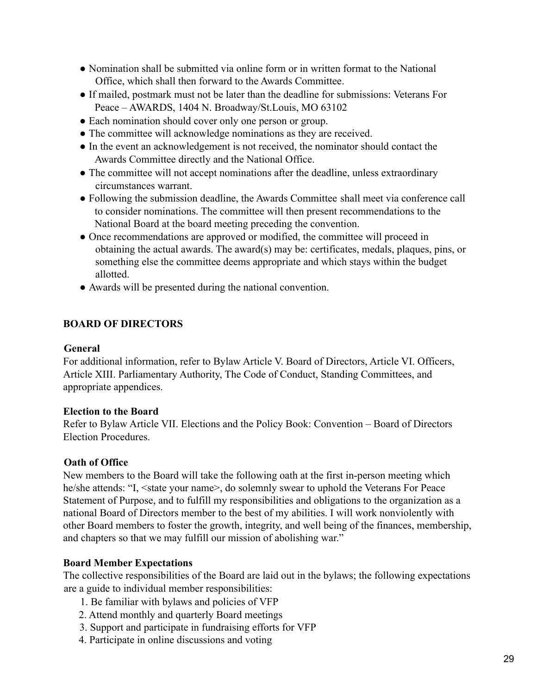- Nomination shall be submitted via online form or in written format to the National Office, which shall then forward to the Awards Committee.
- If mailed, postmark must not be later than the deadline for submissions: Veterans For Peace – AWARDS, 1404 N. Broadway/St.Louis, MO 63102
- Each nomination should cover only one person or group.
- The committee will acknowledge nominations as they are received.
- In the event an acknowledgement is not received, the nominator should contact the Awards Committee directly and the National Office.
- The committee will not accept nominations after the deadline, unless extraordinary circumstances warrant.
- Following the submission deadline, the Awards Committee shall meet via conference call to consider nominations. The committee will then present recommendations to the National Board at the board meeting preceding the convention.
- Once recommendations are approved or modified, the committee will proceed in obtaining the actual awards. The award(s) may be: certificates, medals, plaques, pins, or something else the committee deems appropriate and which stays within the budget allotted.
- Awards will be presented during the national convention.

# **BOARD OF DIRECTORS**

#### **General**

For additional information, refer to Bylaw Article V. Board of Directors, Article VI. Officers, Article XIII. Parliamentary Authority, The Code of Conduct, Standing Committees, and appropriate appendices.

## **Election to the Board**

Refer to Bylaw Article VII. Elections and the Policy Book: Convention – Board of Directors Election Procedures.

## **Oath of Office**

New members to the Board will take the following oath at the first in-person meeting which he/she attends: "I, <state your name>, do solemnly swear to uphold the Veterans For Peace Statement of Purpose, and to fulfill my responsibilities and obligations to the organization as a national Board of Directors member to the best of my abilities. I will work nonviolently with other Board members to foster the growth, integrity, and well being of the finances, membership, and chapters so that we may fulfill our mission of abolishing war."

## **Board Member Expectations**

The collective responsibilities of the Board are laid out in the bylaws; the following expectations are a guide to individual member responsibilities:

- 1. Be familiar with bylaws and policies of VFP
- 2. Attend monthly and quarterly Board meetings
- 3. Support and participate in fundraising efforts for VFP
- 4. Participate in online discussions and voting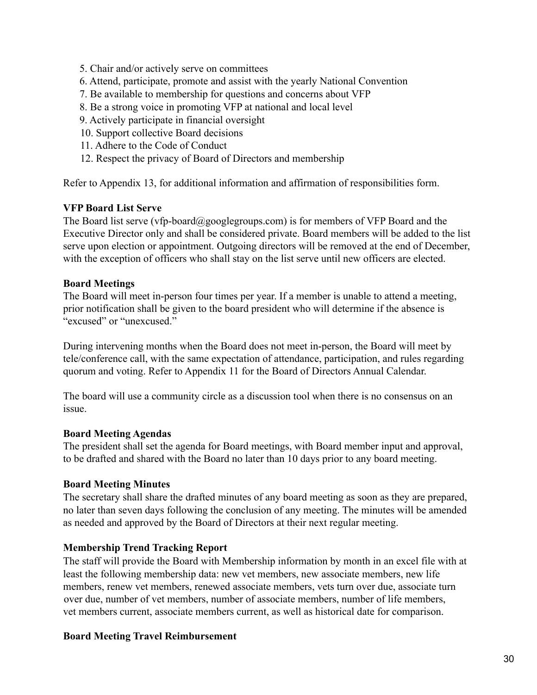- 5. Chair and/or actively serve on committees
- 6. Attend, participate, promote and assist with the yearly National Convention
- 7. Be available to membership for questions and concerns about VFP
- 8. Be a strong voice in promoting VFP at national and local level
- 9. Actively participate in financial oversight
- 10. Support collective Board decisions
- 11. Adhere to the Code of Conduct
- 12. Respect the privacy of Board of Directors and membership

Refer to Appendix 13, for additional information and affirmation of responsibilities form.

#### **VFP Board List Serve**

The Board list serve (vfp-board@googlegroups.com) is for members of VFP Board and the Executive Director only and shall be considered private. Board members will be added to the list serve upon election or appointment. Outgoing directors will be removed at the end of December, with the exception of officers who shall stay on the list serve until new officers are elected.

#### **Board Meetings**

The Board will meet in-person four times per year. If a member is unable to attend a meeting, prior notification shall be given to the board president who will determine if the absence is "excused" or "unexcused."

During intervening months when the Board does not meet in-person, the Board will meet by tele/conference call, with the same expectation of attendance, participation, and rules regarding quorum and voting. Refer to Appendix 11 for the Board of Directors Annual Calendar.

The board will use a community circle as a discussion tool when there is no consensus on an issue.

#### **Board Meeting Agendas**

The president shall set the agenda for Board meetings, with Board member input and approval, to be drafted and shared with the Board no later than 10 days prior to any board meeting.

#### **Board Meeting Minutes**

The secretary shall share the drafted minutes of any board meeting as soon as they are prepared, no later than seven days following the conclusion of any meeting. The minutes will be amended as needed and approved by the Board of Directors at their next regular meeting.

#### **Membership Trend Tracking Report**

The staff will provide the Board with Membership information by month in an excel file with at least the following membership data: new vet members, new associate members, new life members, renew vet members, renewed associate members, vets turn over due, associate turn over due, number of vet members, number of associate members, number of life members, vet members current, associate members current, as well as historical date for comparison.

#### **Board Meeting Travel Reimbursement**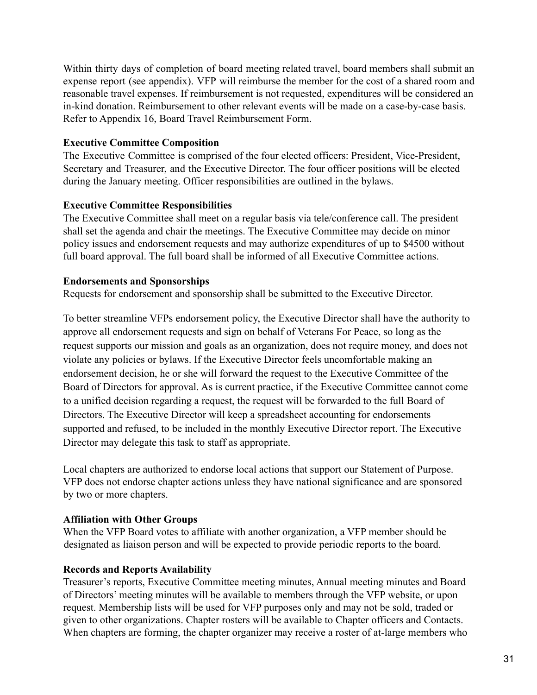Within thirty days of completion of board meeting related travel, board members shall submit an expense report (see appendix). VFP will reimburse the member for the cost of a shared room and reasonable travel expenses. If reimbursement is not requested, expenditures will be considered an in-kind donation. Reimbursement to other relevant events will be made on a case-by-case basis. Refer to Appendix 16, Board Travel Reimbursement Form.

## **Executive Committee Composition**

The Executive Committee is comprised of the four elected officers: President, Vice-President, Secretary and Treasurer, and the Executive Director. The four officer positions will be elected during the January meeting. Officer responsibilities are outlined in the bylaws.

## **Executive Committee Responsibilities**

The Executive Committee shall meet on a regular basis via tele/conference call. The president shall set the agenda and chair the meetings. The Executive Committee may decide on minor policy issues and endorsement requests and may authorize expenditures of up to \$4500 without full board approval. The full board shall be informed of all Executive Committee actions.

## **Endorsements and Sponsorships**

Requests for endorsement and sponsorship shall be submitted to the Executive Director.

To better streamline VFPs endorsement policy, the Executive Director shall have the authority to approve all endorsement requests and sign on behalf of Veterans For Peace, so long as the request supports our mission and goals as an organization, does not require money, and does not violate any policies or bylaws. If the Executive Director feels uncomfortable making an endorsement decision, he or she will forward the request to the Executive Committee of the Board of Directors for approval. As is current practice, if the Executive Committee cannot come to a unified decision regarding a request, the request will be forwarded to the full Board of Directors. The Executive Director will keep a spreadsheet accounting for endorsements supported and refused, to be included in the monthly Executive Director report. The Executive Director may delegate this task to staff as appropriate.

Local chapters are authorized to endorse local actions that support our Statement of Purpose. VFP does not endorse chapter actions unless they have national significance and are sponsored by two or more chapters.

# **Affiliation with Other Groups**

When the VFP Board votes to affiliate with another organization, a VFP member should be designated as liaison person and will be expected to provide periodic reports to the board.

# **Records and Reports Availability**

Treasurer's reports, Executive Committee meeting minutes, Annual meeting minutes and Board of Directors' meeting minutes will be available to members through the VFP website, or upon request. Membership lists will be used for VFP purposes only and may not be sold, traded or given to other organizations. Chapter rosters will be available to Chapter officers and Contacts. When chapters are forming, the chapter organizer may receive a roster of at-large members who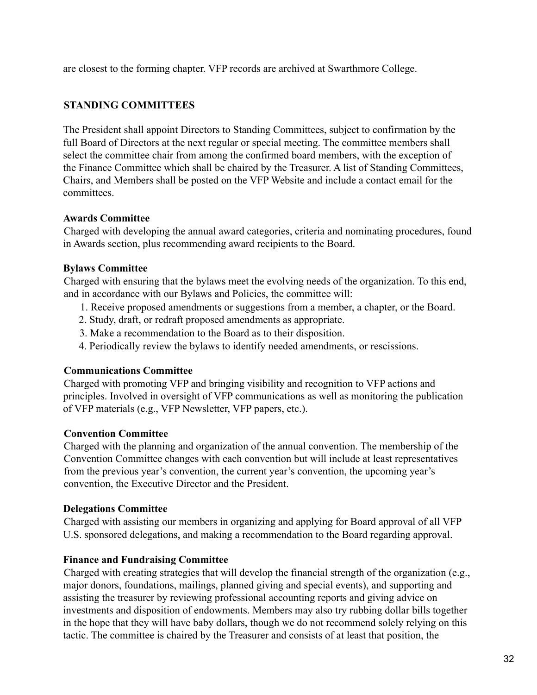are closest to the forming chapter. VFP records are archived at Swarthmore College.

## **STANDING COMMITTEES**

The President shall appoint Directors to Standing Committees, subject to confirmation by the full Board of Directors at the next regular or special meeting. The committee members shall select the committee chair from among the confirmed board members, with the exception of the Finance Committee which shall be chaired by the Treasurer. A list of Standing Committees, Chairs, and Members shall be posted on the VFP Website and include a contact email for the committees.

#### **Awards Committee**

Charged with developing the annual award categories, criteria and nominating procedures, found in Awards section, plus recommending award recipients to the Board.

## **Bylaws Committee**

Charged with ensuring that the bylaws meet the evolving needs of the organization. To this end, and in accordance with our Bylaws and Policies, the committee will:

- 1. Receive proposed amendments or suggestions from a member, a chapter, or the Board.
- 2. Study, draft, or redraft proposed amendments as appropriate.
- 3. Make a recommendation to the Board as to their disposition.
- 4. Periodically review the bylaws to identify needed amendments, or rescissions.

## **Communications Committee**

Charged with promoting VFP and bringing visibility and recognition to VFP actions and principles. Involved in oversight of VFP communications as well as monitoring the publication of VFP materials (e.g., VFP Newsletter, VFP papers, etc.).

## **Convention Committee**

Charged with the planning and organization of the annual convention. The membership of the Convention Committee changes with each convention but will include at least representatives from the previous year's convention, the current year's convention, the upcoming year's convention, the Executive Director and the President.

## **Delegations Committee**

Charged with assisting our members in organizing and applying for Board approval of all VFP U.S. sponsored delegations, and making a recommendation to the Board regarding approval.

## **Finance and Fundraising Committee**

Charged with creating strategies that will develop the financial strength of the organization (e.g., major donors, foundations, mailings, planned giving and special events), and supporting and assisting the treasurer by reviewing professional accounting reports and giving advice on investments and disposition of endowments. Members may also try rubbing dollar bills together in the hope that they will have baby dollars, though we do not recommend solely relying on this tactic. The committee is chaired by the Treasurer and consists of at least that position, the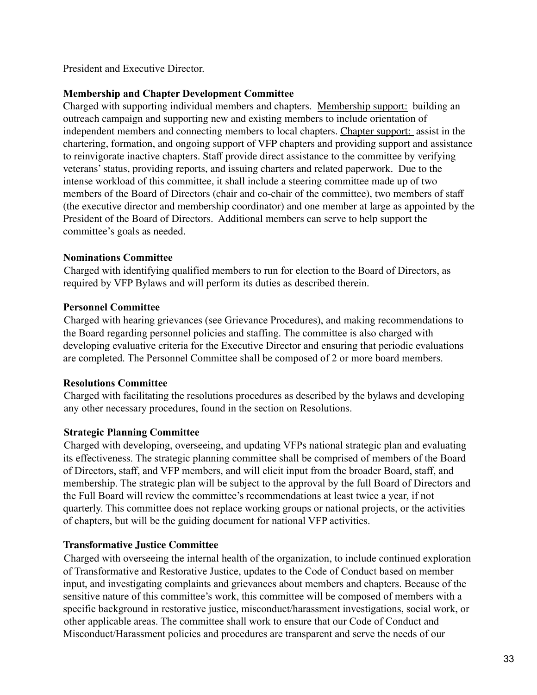President and Executive Director.

## **Membership and Chapter Development Committee**

Charged with supporting individual members and chapters. Membership support: building an outreach campaign and supporting new and existing members to include orientation of independent members and connecting members to local chapters. Chapter support: assist in the chartering, formation, and ongoing support of VFP chapters and providing support and assistance to reinvigorate inactive chapters. Staff provide direct assistance to the committee by verifying veterans'status, providing reports, and issuing charters and related paperwork. Due to the intense workload of this committee, it shall include a steering committee made up of two members of the Board of Directors (chair and co-chair of the committee), two members of staff (the executive director and membership coordinator) and one member at large as appointed by the President of the Board of Directors. Additional members can serve to help support the committee's goals as needed.

## **Nominations Committee**

Charged with identifying qualified members to run for election to the Board of Directors, as required by VFP Bylaws and will perform its duties as described therein.

## **Personnel Committee**

Charged with hearing grievances (see Grievance Procedures), and making recommendations to the Board regarding personnel policies and staffing. The committee is also charged with developing evaluative criteria for the Executive Director and ensuring that periodic evaluations are completed. The Personnel Committee shall be composed of 2 or more board members.

# **Resolutions Committee**

Charged with facilitating the resolutions procedures as described by the bylaws and developing any other necessary procedures, found in the section on Resolutions.

# **Strategic Planning Committee**

Charged with developing, overseeing, and updating VFPs national strategic plan and evaluating its effectiveness. The strategic planning committee shall be comprised of members of the Board of Directors, staff, and VFP members, and will elicit input from the broader Board, staff, and membership. The strategic plan will be subject to the approval by the full Board of Directors and the Full Board will review the committee's recommendations at least twice a year, if not quarterly. This committee does not replace working groups or national projects, or the activities of chapters, but will be the guiding document for national VFP activities.

# **Transformative Justice Committee**

Charged with overseeing the internal health of the organization, to include continued exploration of Transformative and Restorative Justice, updates to the Code of Conduct based on member input, and investigating complaints and grievances about members and chapters. Because of the sensitive nature of this committee's work, this committee will be composed of members with a specific background in restorative justice, misconduct/harassment investigations, social work, or other applicable areas. The committee shall work to ensure that our Code of Conduct and Misconduct/Harassment policies and procedures are transparent and serve the needs of our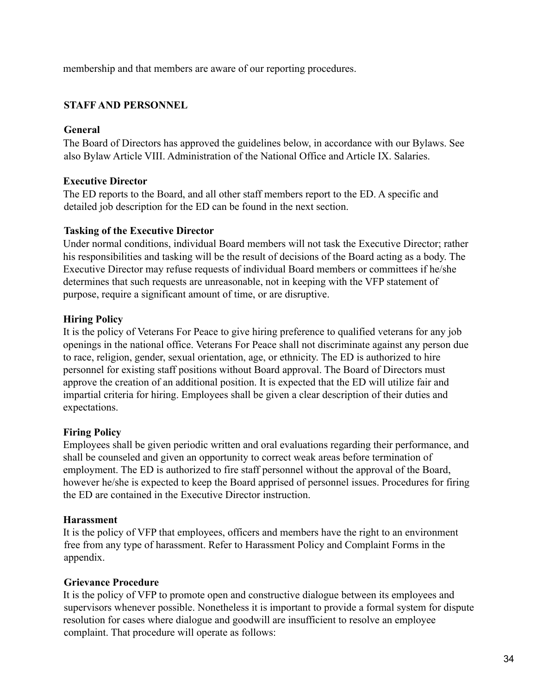membership and that members are aware of our reporting procedures.

# **STAFF AND PERSONNEL**

## **General**

The Board of Directors has approved the guidelines below, in accordance with our Bylaws. See also Bylaw Article VIII. Administration of the National Office and Article IX. Salaries.

## **Executive Director**

The ED reports to the Board, and all other staff members report to the ED. A specific and detailed job description for the ED can be found in the next section.

## **Tasking of the Executive Director**

Under normal conditions, individual Board members will not task the Executive Director; rather his responsibilities and tasking will be the result of decisions of the Board acting as a body. The Executive Director may refuse requests of individual Board members or committees if he/she determines that such requests are unreasonable, not in keeping with the VFP statement of purpose, require a significant amount of time, or are disruptive.

## **Hiring Policy**

It is the policy of Veterans For Peace to give hiring preference to qualified veterans for any job openings in the national office. Veterans For Peace shall not discriminate against any person due to race, religion, gender, sexual orientation, age, or ethnicity. The ED is authorized to hire personnel for existing staff positions without Board approval. The Board of Directors must approve the creation of an additional position. It is expected that the ED will utilize fair and impartial criteria for hiring. Employees shall be given a clear description of their duties and expectations.

## **Firing Policy**

Employees shall be given periodic written and oral evaluations regarding their performance, and shall be counseled and given an opportunity to correct weak areas before termination of employment. The ED is authorized to fire staff personnel without the approval of the Board, however he/she is expected to keep the Board apprised of personnel issues. Procedures for firing the ED are contained in the Executive Director instruction.

## **Harassment**

It is the policy of VFP that employees, officers and members have the right to an environment free from any type of harassment. Refer to Harassment Policy and Complaint Forms in the appendix.

## **Grievance Procedure**

It is the policy of VFP to promote open and constructive dialogue between its employees and supervisors whenever possible. Nonetheless it is important to provide a formal system for dispute resolution for cases where dialogue and goodwill are insufficient to resolve an employee complaint. That procedure will operate as follows: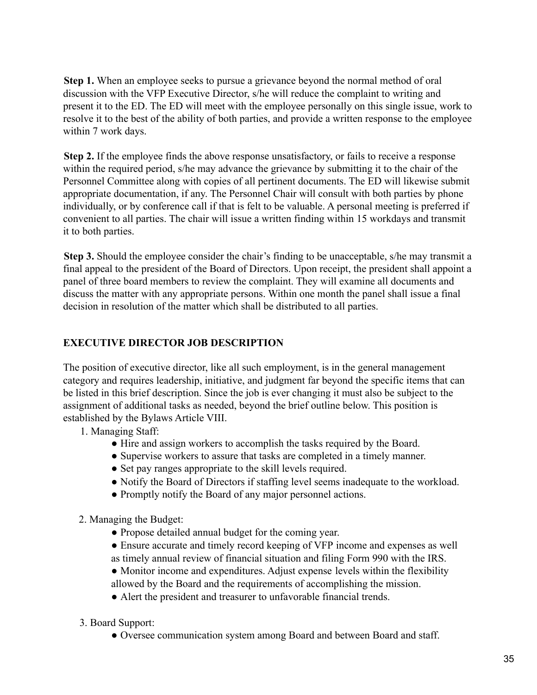**Step 1.** When an employee seeks to pursue a grievance beyond the normal method of oral discussion with the VFP Executive Director, s/he will reduce the complaint to writing and present it to the ED. The ED will meet with the employee personally on this single issue, work to resolve it to the best of the ability of both parties, and provide a written response to the employee within 7 work days.

**Step 2.** If the employee finds the above response unsatisfactory, or fails to receive a response within the required period, s/he may advance the grievance by submitting it to the chair of the Personnel Committee along with copies of all pertinent documents. The ED will likewise submit appropriate documentation, if any. The Personnel Chair will consult with both parties by phone individually, or by conference call if that is felt to be valuable. A personal meeting is preferred if convenient to all parties. The chair will issue a written finding within 15 workdays and transmit it to both parties.

**Step 3.** Should the employee consider the chair's finding to be unacceptable, s/he may transmit a final appeal to the president of the Board of Directors. Upon receipt, the president shall appoint a panel of three board members to review the complaint. They will examine all documents and discuss the matter with any appropriate persons. Within one month the panel shall issue a final decision in resolution of the matter which shall be distributed to all parties.

# **EXECUTIVE DIRECTOR JOB DESCRIPTION**

The position of executive director, like all such employment, is in the general management category and requires leadership, initiative, and judgment far beyond the specific items that can be listed in this brief description. Since the job is ever changing it must also be subject to the assignment of additional tasks as needed, beyond the brief outline below. This position is established by the Bylaws Article VIII.

- 1. Managing Staff:
	- Hire and assign workers to accomplish the tasks required by the Board.
	- Supervise workers to assure that tasks are completed in a timely manner.
	- Set pay ranges appropriate to the skill levels required.
	- Notify the Board of Directors if staffing level seems inadequate to the workload.
	- Promptly notify the Board of any major personnel actions.
- 2. Managing the Budget:
	- Propose detailed annual budget for the coming year.
	- Ensure accurate and timely record keeping of VFP income and expenses as well as timely annual review of financial situation and filing Form 990 with the IRS.

• Monitor income and expenditures. Adjust expense levels within the flexibility allowed by the Board and the requirements of accomplishing the mission.

- Alert the president and treasurer to unfavorable financial trends.
- 3. Board Support:
	- Oversee communication system among Board and between Board and staff.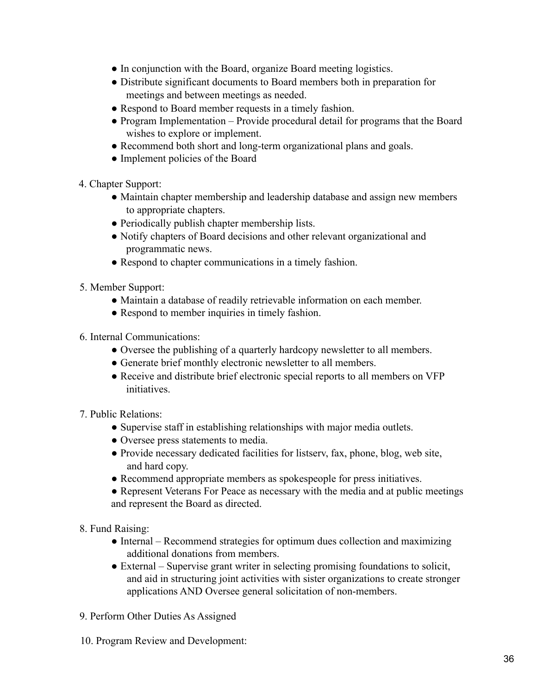- In conjunction with the Board, organize Board meeting logistics.
- Distribute significant documents to Board members both in preparation for meetings and between meetings as needed.
- Respond to Board member requests in a timely fashion.
- Program Implementation Provide procedural detail for programs that the Board wishes to explore or implement.
- Recommend both short and long-term organizational plans and goals.
- Implement policies of the Board
- 4. Chapter Support:
	- Maintain chapter membership and leadership database and assign new members to appropriate chapters.
	- Periodically publish chapter membership lists.
	- Notify chapters of Board decisions and other relevant organizational and programmatic news.
	- Respond to chapter communications in a timely fashion.
- 5. Member Support:
	- Maintain a database of readily retrievable information on each member.
	- Respond to member inquiries in timely fashion.
- 6. Internal Communications:
	- Oversee the publishing of a quarterly hardcopy newsletter to all members.
	- Generate brief monthly electronic newsletter to all members.
	- Receive and distribute brief electronic special reports to all members on VFP initiatives.
- 7. Public Relations:
	- Supervise staff in establishing relationships with major media outlets.
	- Oversee press statements to media.
	- Provide necessary dedicated facilities for listserv, fax, phone, blog, web site, and hard copy.
	- Recommend appropriate members as spokespeople for press initiatives.

• Represent Veterans For Peace as necessary with the media and at public meetings and represent the Board as directed.

- 8. Fund Raising:
	- Internal Recommend strategies for optimum dues collection and maximizing additional donations from members.
	- External Supervise grant writer in selecting promising foundations to solicit, and aid in structuring joint activities with sister organizations to create stronger applications AND Oversee general solicitation of non-members.
- 9. Perform Other Duties As Assigned
- 10. Program Review and Development: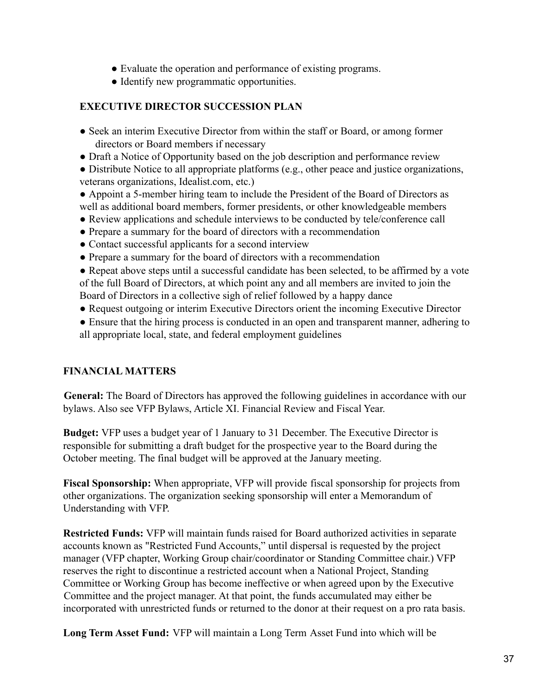- Evaluate the operation and performance of existing programs.
- Identify new programmatic opportunities.

## **EXECUTIVE DIRECTOR SUCCESSION PLAN**

- Seek an interim Executive Director from within the staff or Board, or among former directors or Board members if necessary
- Draft a Notice of Opportunity based on the job description and performance review
- Distribute Notice to all appropriate platforms (e.g., other peace and justice organizations, veterans organizations, Idealist.com, etc.)
- Appoint a 5-member hiring team to include the President of the Board of Directors as well as additional board members, former presidents, or other knowledgeable members
- Review applications and schedule interviews to be conducted by tele/conference call
- Prepare a summary for the board of directors with a recommendation
- Contact successful applicants for a second interview
- Prepare a summary for the board of directors with a recommendation
- Repeat above steps until a successful candidate has been selected, to be affirmed by a vote of the full Board of Directors, at which point any and all members are invited to join the Board of Directors in a collective sigh of relief followed by a happy dance
- Request outgoing or interim Executive Directors orient the incoming Executive Director
- Ensure that the hiring process is conducted in an open and transparent manner, adhering to all appropriate local, state, and federal employment guidelines

## **FINANCIAL MATTERS**

**General:** The Board of Directors has approved the following guidelines in accordance with our bylaws. Also see VFP Bylaws, Article XI. Financial Review and Fiscal Year.

**Budget:** VFP uses a budget year of 1 January to 31 December. The Executive Director is responsible for submitting a draft budget for the prospective year to the Board during the October meeting. The final budget will be approved at the January meeting.

**Fiscal Sponsorship:** When appropriate, VFP will provide fiscal sponsorship for projects from other organizations. The organization seeking sponsorship will enter a Memorandum of Understanding with VFP.

**Restricted Funds:** VFP will maintain funds raised for Board authorized activities in separate accounts known as "Restricted Fund Accounts," until dispersal is requested by the project manager (VFP chapter, Working Group chair/coordinator or Standing Committee chair.) VFP reserves the right to discontinue a restricted account when a National Project, Standing Committee or Working Group has become ineffective or when agreed upon by the Executive Committee and the project manager. At that point, the funds accumulated may either be incorporated with unrestricted funds or returned to the donor at their request on a pro rata basis.

**Long Term Asset Fund:** VFP will maintain a Long Term Asset Fund into which will be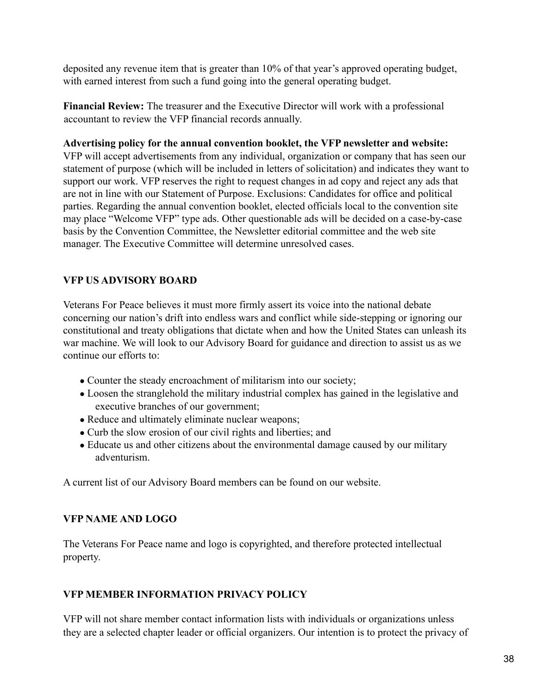deposited any revenue item that is greater than 10% of that year's approved operating budget, with earned interest from such a fund going into the general operating budget.

**Financial Review:** The treasurer and the Executive Director will work with a professional accountant to review the VFP financial records annually.

#### **Advertising policy for the annual convention booklet, the VFP newsletter and website:**

VFP will accept advertisements from any individual, organization or company that has seen our statement of purpose (which will be included in letters of solicitation) and indicates they want to support our work. VFP reserves the right to request changes in ad copy and reject any ads that are not in line with our Statement of Purpose. Exclusions: Candidates for office and political parties. Regarding the annual convention booklet, elected officials local to the convention site may place "Welcome VFP" type ads. Other questionable ads will be decided on a case-by-case basis by the Convention Committee, the Newsletter editorial committee and the web site manager. The Executive Committee will determine unresolved cases.

## **VFP US ADVISORY BOARD**

Veterans For Peace believes it must more firmly assert its voice into the national debate concerning our nation's drift into endless wars and conflict while side-stepping or ignoring our constitutional and treaty obligations that dictate when and how the United States can unleash its war machine. We will look to our Advisory Board for guidance and direction to assist us as we continue our efforts to:

- Counter the steady encroachment of militarism into our society;
- Loosen the stranglehold the military industrial complex has gained in the legislative and executive branches of our government;
- Reduce and ultimately eliminate nuclear weapons;
- Curb the slow erosion of our civil rights and liberties; and
- Educate us and other citizens about the environmental damage caused by our military adventurism.

A current list of our Advisory Board members can be found on our website.

## **VFP NAME AND LOGO**

The Veterans For Peace name and logo is copyrighted, and therefore protected intellectual property.

## **VFP MEMBER INFORMATION PRIVACY POLICY**

VFP will not share member contact information lists with individuals or organizations unless they are a selected chapter leader or official organizers. Our intention is to protect the privacy of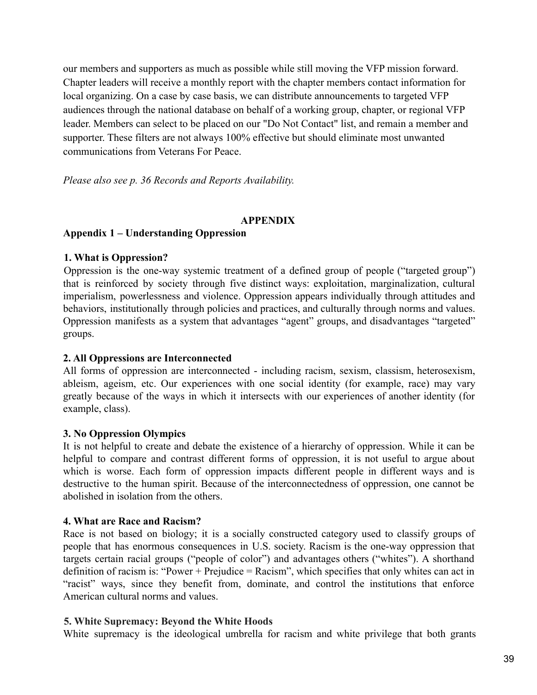our members and supporters as much as possible while still moving the VFP mission forward. Chapter leaders will receive a monthly report with the chapter members contact information for local organizing. On a case by case basis, we can distribute announcements to targeted VFP audiences through the national database on behalf of a working group, chapter, or regional VFP leader. Members can select to be placed on our "Do Not Contact" list, and remain a member and supporter. These filters are not always 100% effective but should eliminate most unwanted communications from Veterans For Peace.

*Please also see p. 36 Records and Reports Availability.*

## **APPENDIX**

## **Appendix 1 – Understanding Oppression**

## **1. What is Oppression?**

Oppression is the one-way systemic treatment of a defined group of people ("targeted group") that is reinforced by society through five distinct ways: exploitation, marginalization, cultural imperialism, powerlessness and violence. Oppression appears individually through attitudes and behaviors, institutionally through policies and practices, and culturally through norms and values. Oppression manifests as a system that advantages "agent" groups, and disadvantages "targeted" groups.

## **2. All Oppressions are Interconnected**

All forms of oppression are interconnected - including racism, sexism, classism, heterosexism, ableism, ageism, etc. Our experiences with one social identity (for example, race) may vary greatly because of the ways in which it intersects with our experiences of another identity (for example, class).

## **3. No Oppression Olympics**

It is not helpful to create and debate the existence of a hierarchy of oppression. While it can be helpful to compare and contrast different forms of oppression, it is not useful to argue about which is worse. Each form of oppression impacts different people in different ways and is destructive to the human spirit. Because of the interconnectedness of oppression, one cannot be abolished in isolation from the others.

## **4. What are Race and Racism?**

Race is not based on biology; it is a socially constructed category used to classify groups of people that has enormous consequences in U.S. society. Racism is the one-way oppression that targets certain racial groups ("people of color") and advantages others ("whites"). A shorthand definition of racism is: "Power + Prejudice = Racism", which specifies that only whites can act in "racist" ways, since they benefit from, dominate, and control the institutions that enforce American cultural norms and values.

## **5. White Supremacy: Beyond the White Hoods**

White supremacy is the ideological umbrella for racism and white privilege that both grants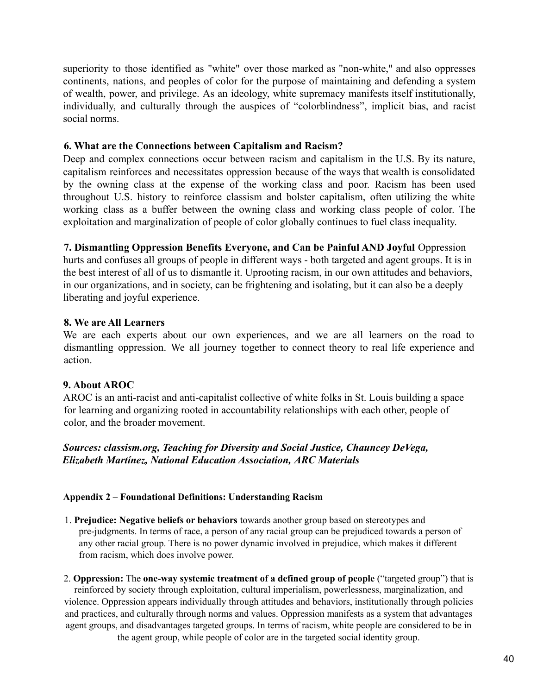superiority to those identified as "white" over those marked as "non-white," and also oppresses continents, nations, and peoples of color for the purpose of maintaining and defending a system of wealth, power, and privilege. As an ideology, white supremacy manifests itself institutionally, individually, and culturally through the auspices of "colorblindness", implicit bias, and racist social norms.

## **6. What are the Connections between Capitalism and Racism?**

Deep and complex connections occur between racism and capitalism in the U.S. By its nature, capitalism reinforces and necessitates oppression because of the ways that wealth is consolidated by the owning class at the expense of the working class and poor. Racism has been used throughout U.S. history to reinforce classism and bolster capitalism, often utilizing the white working class as a buffer between the owning class and working class people of color. The exploitation and marginalization of people of color globally continues to fuel class inequality.

#### **7. Dismantling Oppression Benefits Everyone, and Can be Painful AND Joyful** Oppression hurts and confuses all groups of people in different ways - both targeted and agent groups. It is in the best interest of all of us to dismantle it. Uprooting racism, in our own attitudes and behaviors, in our organizations, and in society, can be frightening and isolating, but it can also be a deeply

liberating and joyful experience.

## **8. We are All Learners**

We are each experts about our own experiences, and we are all learners on the road to dismantling oppression. We all journey together to connect theory to real life experience and action.

# **9. About AROC**

AROC is an anti-racist and anti-capitalist collective of white folks in St. Louis building a space for learning and organizing rooted in accountability relationships with each other, people of color, and the broader movement.

## *Sources: classism.org, Teaching for Diversity and Social Justice, Chauncey DeVega, Elizabeth Martínez, National Education Association, ARC Materials*

## **Appendix 2 – Foundational Definitions: Understanding Racism**

1. **Prejudice: Negative beliefs or behaviors** towards another group based on stereotypes and pre-judgments. In terms of race, a person of any racial group can be prejudiced towards a person of any other racial group. There is no power dynamic involved in prejudice, which makes it different from racism, which does involve power.

2. **Oppression:** The **one-way systemic treatment of a defined group of people** ("targeted group") that is reinforced by society through exploitation, cultural imperialism, powerlessness, marginalization, and violence. Oppression appears individually through attitudes and behaviors, institutionally through policies and practices, and culturally through norms and values. Oppression manifests as a system that advantages agent groups, and disadvantages targeted groups. In terms of racism, white people are considered to be in the agent group, while people of color are in the targeted social identity group.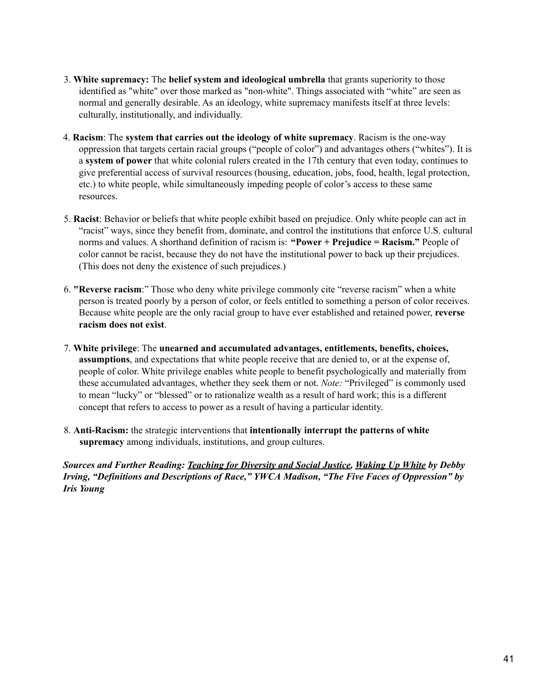- 3. **White supremacy:** The **belief system and ideological umbrella** that grants superiority to those identified as "white" over those marked as "non-white". Things associated with "white" are seen as normal and generally desirable. As an ideology, white supremacy manifests itself at three levels: culturally, institutionally, and individually.
- 4. **Racism**: The **system that carries out the ideology of white supremacy**. Racism is the one-way oppression that targets certain racial groups ("people of color") and advantages others ("whites"). It is a **system of power** that white colonial rulers created in the 17th century that even today, continues to give preferential access of survival resources (housing, education, jobs, food, health, legal protection, etc.) to white people, while simultaneously impeding people of color's access to these same resources.
- 5. **Racist**: Behavior or beliefs that white people exhibit based on prejudice. Only white people can act in "racist" ways, since they benefit from, dominate, and control the institutions that enforce U.S. cultural norms and values. A shorthand definition of racism is: **"Power + Prejudice = Racism."** People of color cannot be racist, because they do not have the institutional power to back up their prejudices. (This does not deny the existence of such prejudices.)
- 6. **"Reverse racism**:" Those who deny white privilege commonly cite "reverse racism" when a white person is treated poorly by a person of color, or feels entitled to something a person of color receives. Because white people are the only racial group to have ever established and retained power, **reverse racism does not exist**.
- 7. **White privilege**: The **unearned and accumulated advantages, entitlements, benefits, choices, assumptions**, and expectations that white people receive that are denied to, or at the expense of, people of color. White privilege enables white people to benefit psychologically and materially from these accumulated advantages, whether they seek them or not. *Note:* "Privileged" is commonly used to mean "lucky" or "blessed" or to rationalize wealth as a result of hard work; this is a different concept that refers to access to power as a result of having a particular identity.
- 8. **Anti-Racism:** the strategic interventions that **intentionally interrupt the patterns of white supremacy** among individuals, institutions, and group cultures.

*Sources and Further Reading: Teaching for Diversity and Social Justice, Waking Up White by Debby Irving, "Definitions and Descriptions of Race," YWCA Madison, "The Five Faces of Oppression" by Iris Young*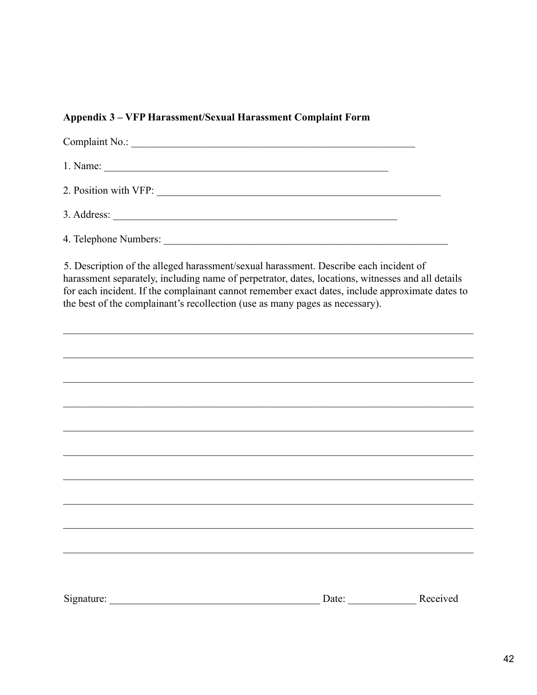## Appendix 3 – VFP Harassment/Sexual Harassment Complaint Form

| Complaint No.:        |  |
|-----------------------|--|
|                       |  |
| 2. Position with VFP: |  |
| 3. Address:           |  |
| 4. Telephone Numbers: |  |

5. Description of the alleged harassment/sexual harassment. Describe each incident of harassment separately, including name of perpetrator, dates, locations, witnesses and all details for each incident. If the complainant cannot remember exact dates, include approximate dates to the best of the complainant's recollection (use as many pages as necessary).

| Signature: | Date: | Received |
|------------|-------|----------|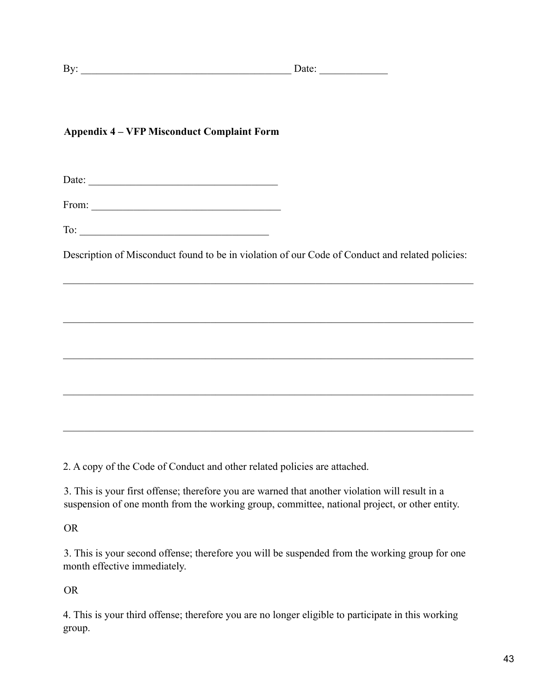# **Appendix 4 – VFP Misconduct Complaint Form**

Date: \_\_\_\_\_\_\_\_\_\_\_\_\_\_\_\_\_\_\_\_\_\_\_\_\_\_\_\_\_\_\_\_\_\_\_\_

From: \_\_\_\_\_\_\_\_\_\_\_\_\_\_\_\_\_\_\_\_\_\_\_\_\_\_\_\_\_\_\_\_\_\_\_\_

To:  $\overline{\phantom{a}}$ 

Description of Misconduct found to be in violation of our Code of Conduct and related policies:

 $\mathcal{L}_\mathcal{L} = \{ \mathcal{L}_\mathcal{L} = \{ \mathcal{L}_\mathcal{L} = \{ \mathcal{L}_\mathcal{L} = \{ \mathcal{L}_\mathcal{L} = \{ \mathcal{L}_\mathcal{L} = \{ \mathcal{L}_\mathcal{L} = \{ \mathcal{L}_\mathcal{L} = \{ \mathcal{L}_\mathcal{L} = \{ \mathcal{L}_\mathcal{L} = \{ \mathcal{L}_\mathcal{L} = \{ \mathcal{L}_\mathcal{L} = \{ \mathcal{L}_\mathcal{L} = \{ \mathcal{L}_\mathcal{L} = \{ \mathcal{L}_\mathcal{$ 

 $\mathcal{L}_\mathcal{L} = \{ \mathcal{L}_\mathcal{L} = \{ \mathcal{L}_\mathcal{L} = \{ \mathcal{L}_\mathcal{L} = \{ \mathcal{L}_\mathcal{L} = \{ \mathcal{L}_\mathcal{L} = \{ \mathcal{L}_\mathcal{L} = \{ \mathcal{L}_\mathcal{L} = \{ \mathcal{L}_\mathcal{L} = \{ \mathcal{L}_\mathcal{L} = \{ \mathcal{L}_\mathcal{L} = \{ \mathcal{L}_\mathcal{L} = \{ \mathcal{L}_\mathcal{L} = \{ \mathcal{L}_\mathcal{L} = \{ \mathcal{L}_\mathcal{$ 

 $\mathcal{L}_\mathcal{L} = \{ \mathcal{L}_\mathcal{L} = \{ \mathcal{L}_\mathcal{L} = \{ \mathcal{L}_\mathcal{L} = \{ \mathcal{L}_\mathcal{L} = \{ \mathcal{L}_\mathcal{L} = \{ \mathcal{L}_\mathcal{L} = \{ \mathcal{L}_\mathcal{L} = \{ \mathcal{L}_\mathcal{L} = \{ \mathcal{L}_\mathcal{L} = \{ \mathcal{L}_\mathcal{L} = \{ \mathcal{L}_\mathcal{L} = \{ \mathcal{L}_\mathcal{L} = \{ \mathcal{L}_\mathcal{L} = \{ \mathcal{L}_\mathcal{$ 

 $\mathcal{L}_\mathcal{L} = \{ \mathcal{L}_\mathcal{L} = \{ \mathcal{L}_\mathcal{L} = \{ \mathcal{L}_\mathcal{L} = \{ \mathcal{L}_\mathcal{L} = \{ \mathcal{L}_\mathcal{L} = \{ \mathcal{L}_\mathcal{L} = \{ \mathcal{L}_\mathcal{L} = \{ \mathcal{L}_\mathcal{L} = \{ \mathcal{L}_\mathcal{L} = \{ \mathcal{L}_\mathcal{L} = \{ \mathcal{L}_\mathcal{L} = \{ \mathcal{L}_\mathcal{L} = \{ \mathcal{L}_\mathcal{L} = \{ \mathcal{L}_\mathcal{$ 

\_\_\_\_\_\_\_\_\_\_\_\_\_\_\_\_\_\_\_\_\_\_\_\_\_\_\_\_\_\_\_\_\_\_\_\_\_\_\_\_\_\_\_\_\_\_\_\_\_\_\_\_\_\_\_\_\_\_\_\_\_\_\_\_\_\_\_\_\_\_\_\_\_\_\_\_\_\_

2. A copy of the Code of Conduct and other related policies are attached.

3. This is your first offense; therefore you are warned that another violation will result in a suspension of one month from the working group, committee, national project, or other entity.

OR

3. This is your second offense; therefore you will be suspended from the working group for one month effective immediately.

OR

4. This is your third offense; therefore you are no longer eligible to participate in this working group.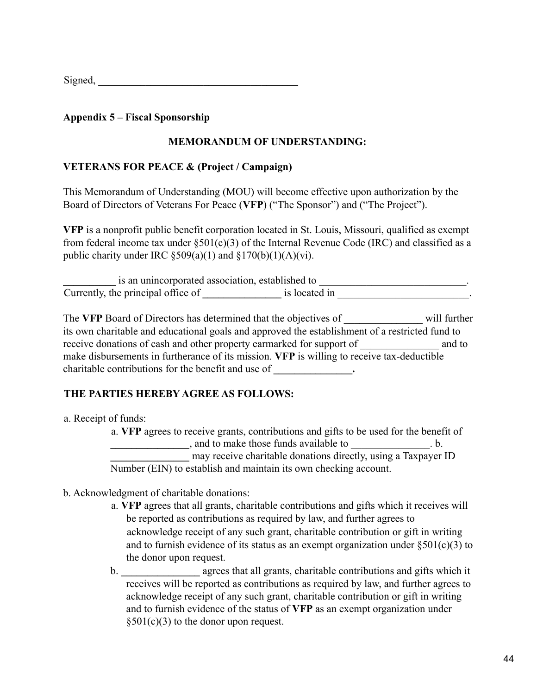## **Appendix 5 – Fiscal Sponsorship**

## **MEMORANDUM OF UNDERSTANDING:**

## **VETERANS FOR PEACE & (Project / Campaign)**

This Memorandum of Understanding (MOU) will become effective upon authorization by the Board of Directors of Veterans For Peace (**VFP**) ("The Sponsor") and ("The Project").

**VFP** is a nonprofit public benefit corporation located in St. Louis, Missouri, qualified as exempt from federal income tax under  $\S501(c)(3)$  of the Internal Revenue Code (IRC) and classified as a public charity under IRC  $\S 509(a)(1)$  and  $\S 170(b)(1)(A)(vi)$ .

is an unincorporated association, established to  $\blacksquare$ Currently, the principal office of **a** is located in **a** is located in

The **VFP** Board of Directors has determined that the objectives of **\_\_\_\_\_\_\_\_\_\_\_\_\_\_\_** will further its own charitable and educational goals and approved the establishment of a restricted fund to receive donations of cash and other property earmarked for support of  $\qquad \qquad$  and to make disbursements in furtherance of its mission. **VFP** is willing to receive tax-deductible charitable contributions for the benefit and use of **\_\_\_\_\_\_\_\_\_\_\_\_\_\_\_.**

# **THE PARTIES HEREBY AGREE AS FOLLOWS:**

a. Receipt of funds:

a. **VFP** agrees to receive grants, contributions and gifts to be used for the benefit of **Example 19 and to make those funds available to** b. may receive charitable donations directly, using a Taxpayer ID Number (EIN) to establish and maintain its own checking account.

- b. Acknowledgment of charitable donations:
	- a. **VFP** agrees that all grants, charitable contributions and gifts which it receives will be reported as contributions as required by law, and further agrees to acknowledge receipt of any such grant, charitable contribution or gift in writing and to furnish evidence of its status as an exempt organization under  $\S 501(c)(3)$  to the donor upon request.
	- b. **\_\_\_\_\_\_\_\_\_\_\_\_\_\_\_** agrees that all grants, charitable contributions and gifts which it receives will be reported as contributions as required by law, and further agrees to acknowledge receipt of any such grant, charitable contribution or gift in writing and to furnish evidence of the status of **VFP** as an exempt organization under §501(c)(3) to the donor upon request.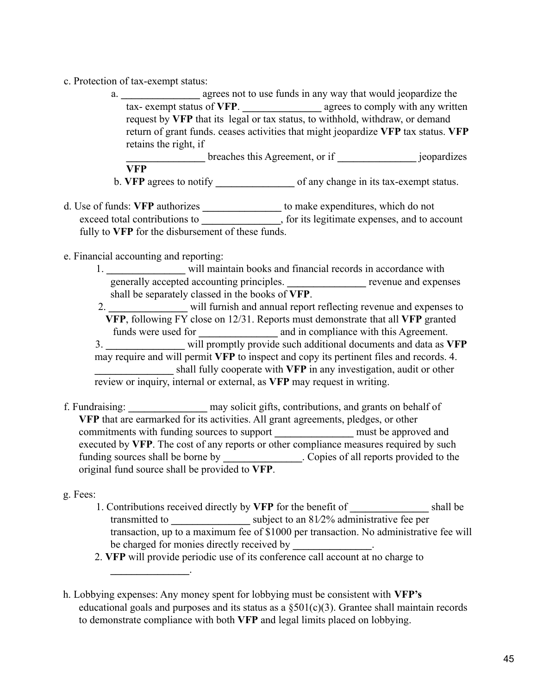- c. Protection of tax-exempt status:
	- a. **\_\_\_\_\_\_\_\_\_\_\_\_\_\_\_** agrees not to use funds in any way that would jeopardize the tax- exempt status of **VFP**. **\_\_\_\_\_\_\_\_\_\_\_\_\_\_\_** agrees to comply with any written request by **VFP** that its legal or tax status, to withhold, withdraw, or demand return of grant funds. ceases activities that might jeopardize **VFP** tax status. **VFP** retains the right, if

**breaches this Agreement, or if**  $\qquad$  **jeopardizes VFP**

- b. **VFP** agrees to notify of any change in its tax-exempt status.
- d. Use of funds: **VFP** authorizes **\_\_\_\_\_\_\_\_\_\_\_\_\_\_\_** to make expenditures, which do not exceed total contributions to **a**, for its legitimate expenses, and to account fully to **VFP** for the disbursement of these funds.

e. Financial accounting and reporting:

**\_\_\_\_\_\_\_\_\_\_\_\_\_\_\_**.

1. **\_\_\_\_\_\_\_\_\_\_\_\_\_\_\_** will maintain books and financial records in accordance with generally accepted accounting principles. **\_\_\_\_\_\_\_\_\_\_\_\_\_\_\_** revenue and expenses shall be separately classed in the books of **VFP**.

2. **\_\_\_\_\_\_\_\_\_\_\_\_\_\_\_** will furnish and annual report reflecting revenue and expenses to **VFP**, following FY close on 12/31. Reports must demonstrate that all **VFP** granted funds were used for **and in compliance with this Agreement.** 3. **\_\_\_\_\_\_\_\_\_\_\_\_\_\_\_** will promptly provide such additional documents and data as **VFP** may require and will permit **VFP** to inspect and copy its pertinent files and records. 4. **\_\_\_\_\_\_\_\_\_\_\_\_\_\_\_** shall fully cooperate with **VFP** in any investigation, audit or other review or inquiry, internal or external, as **VFP** may request in writing.

f. Fundraising: **\_\_\_\_\_\_\_\_\_\_\_\_\_\_\_** may solicit gifts, contributions, and grants on behalf of **VFP** that are earmarked for its activities. All grant agreements, pledges, or other commitments with funding sources to support **\_\_\_\_\_\_\_\_\_\_\_\_\_\_\_** must be approved and executed by **VFP**. The cost of any reports or other compliance measures required by such funding sources shall be borne by **.** Copies of all reports provided to the original fund source shall be provided to **VFP**.

g. Fees:

- 1. Contributions received directly by **VFP** for the benefit of **\_\_\_\_\_\_\_\_\_\_\_\_\_\_\_** shall be transmitted to subject to an 81/2% administrative fee per transaction, up to a maximum fee of \$1000 per transaction. No administrative fee will be charged for monies directly received by  $\blacksquare$
- 2. **VFP** will provide periodic use of its conference call account at no charge to

h. Lobbying expenses: Any money spent for lobbying must be consistent with **VFP's** educational goals and purposes and its status as a  $\S501(c)(3)$ . Grantee shall maintain records to demonstrate compliance with both **VFP** and legal limits placed on lobbying.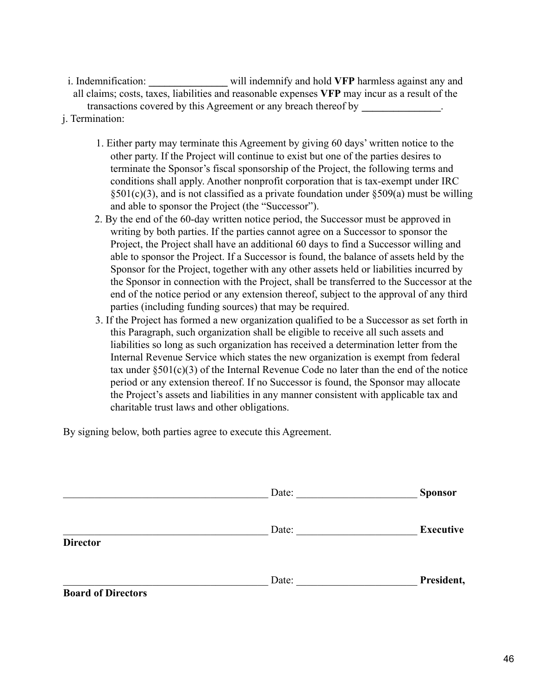i. Indemnification: **\_\_\_\_\_\_\_\_\_\_\_\_\_\_\_** will indemnify and hold **VFP** harmless against any and all claims; costs, taxes, liabilities and reasonable expenses **VFP** may incur as a result of the transactions covered by this Agreement or any breach thereof by **\_\_\_\_\_\_\_\_\_\_\_\_\_\_\_**.

- j. Termination:
	- 1. Either party may terminate this Agreement by giving 60 days' written notice to the other party. If the Project will continue to exist but one of the parties desires to terminate the Sponsor's fiscal sponsorship of the Project, the following terms and conditions shall apply. Another nonprofit corporation that is tax-exempt under IRC  $$501(c)(3)$ , and is not classified as a private foundation under  $$509(a)$  must be willing and able to sponsor the Project (the "Successor").
	- 2. By the end of the 60-day written notice period, the Successor must be approved in writing by both parties. If the parties cannot agree on a Successor to sponsor the Project, the Project shall have an additional 60 days to find a Successor willing and able to sponsor the Project. If a Successor is found, the balance of assets held by the Sponsor for the Project, together with any other assets held or liabilities incurred by the Sponsor in connection with the Project, shall be transferred to the Successor at the end of the notice period or any extension thereof, subject to the approval of any third parties (including funding sources) that may be required.
	- 3. If the Project has formed a new organization qualified to be a Successor as set forth in this Paragraph, such organization shall be eligible to receive all such assets and liabilities so long as such organization has received a determination letter from the Internal Revenue Service which states the new organization is exempt from federal tax under  $\S501(c)(3)$  of the Internal Revenue Code no later than the end of the notice period or any extension thereof. If no Successor is found, the Sponsor may allocate the Project's assets and liabilities in any manner consistent with applicable tax and charitable trust laws and other obligations.

By signing below, both parties agree to execute this Agreement.

|                           | Date: | <b>Sponsor</b>   |
|---------------------------|-------|------------------|
|                           | Date: | <b>Executive</b> |
| <b>Director</b>           |       |                  |
|                           | Date: | President,       |
| <b>Board of Directors</b> |       |                  |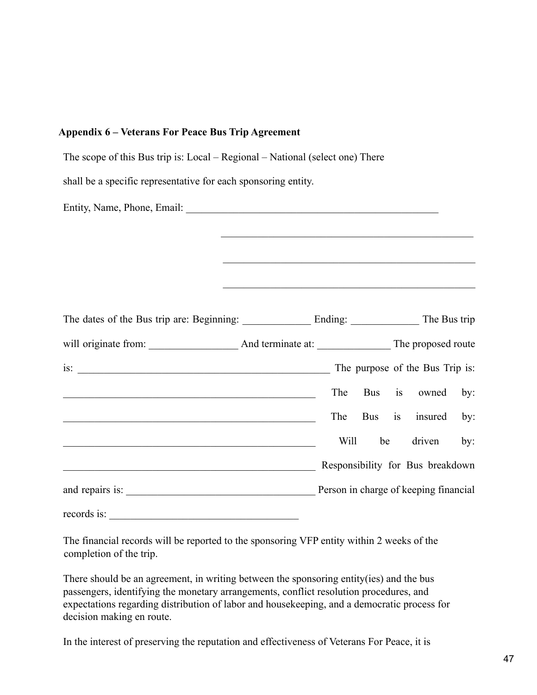| <b>Appendix 6 – Veterans For Peace Bus Trip Agreement</b>                                                              |                                                                                                                  |      |     |    |                                       |     |
|------------------------------------------------------------------------------------------------------------------------|------------------------------------------------------------------------------------------------------------------|------|-----|----|---------------------------------------|-----|
| The scope of this Bus trip is: Local – Regional – National (select one) There                                          |                                                                                                                  |      |     |    |                                       |     |
| shall be a specific representative for each sponsoring entity.                                                         |                                                                                                                  |      |     |    |                                       |     |
|                                                                                                                        |                                                                                                                  |      |     |    |                                       |     |
|                                                                                                                        |                                                                                                                  |      |     |    |                                       |     |
|                                                                                                                        |                                                                                                                  |      |     |    |                                       |     |
|                                                                                                                        | and the control of the control of the control of the control of the control of the control of the control of the |      |     |    |                                       |     |
|                                                                                                                        |                                                                                                                  |      |     |    |                                       |     |
|                                                                                                                        |                                                                                                                  |      |     |    |                                       |     |
|                                                                                                                        |                                                                                                                  |      |     |    |                                       |     |
|                                                                                                                        |                                                                                                                  |      |     |    |                                       |     |
| <u> 1989 - Johann Stoff, deutscher Stoff, der Stoff, der Stoff, der Stoff, der Stoff, der Stoff, der Stoff, der S</u>  |                                                                                                                  | The  | Bus | is | owned                                 | by: |
| <u> 1989 - Johann Stoff, deutscher Stoffen und der Stoffen und der Stoffen und der Stoffen und der Stoffen und der</u> |                                                                                                                  | The  | Bus | is | insured                               | by: |
|                                                                                                                        |                                                                                                                  | Will | be  |    | driven                                | by: |
|                                                                                                                        |                                                                                                                  |      |     |    | Responsibility for Bus breakdown      |     |
|                                                                                                                        |                                                                                                                  |      |     |    | Person in charge of keeping financial |     |
| records is:                                                                                                            |                                                                                                                  |      |     |    |                                       |     |

The financial records will be reported to the sponsoring VFP entity within 2 weeks of the completion of the trip.

There should be an agreement, in writing between the sponsoring entity(ies) and the bus passengers, identifying the monetary arrangements, conflict resolution procedures, and expectations regarding distribution of labor and housekeeping, and a democratic process for decision making en route.

In the interest of preserving the reputation and effectiveness of Veterans For Peace, it is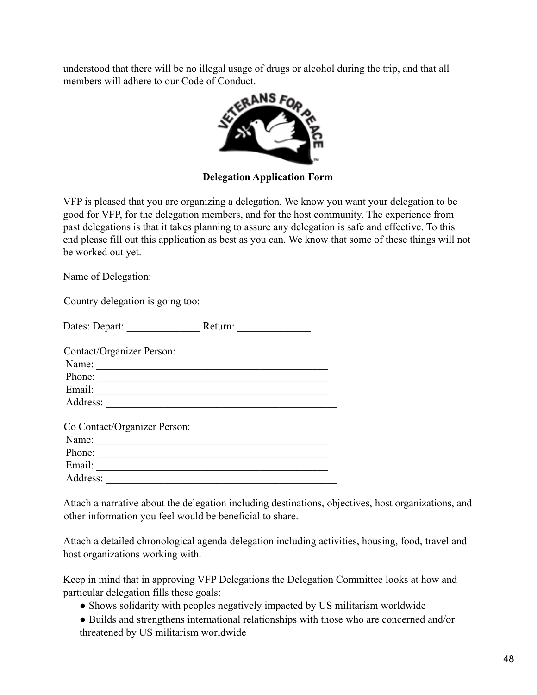understood that there will be no illegal usage of drugs or alcohol during the trip, and that all members will adhere to our Code of Conduct.



**Delegation Application Form**

VFP is pleased that you are organizing a delegation. We know you want your delegation to be good for VFP, for the delegation members, and for the host community. The experience from past delegations is that it takes planning to assure any delegation is safe and effective. To this end please fill out this application as best as you can. We know that some of these things will not be worked out yet.

Name of Delegation:

Country delegation is going too:

|                                                                                      | Return: |
|--------------------------------------------------------------------------------------|---------|
| Contact/Organizer Person:                                                            |         |
| Name:                                                                                |         |
| Phone:<br>the control of the control of the control of the control of the control of |         |
|                                                                                      |         |
| Address:                                                                             |         |
| Co Contact/Organizer Person:                                                         |         |
| Name:                                                                                |         |
| Phone:                                                                               |         |
| Email:                                                                               |         |
| Address:                                                                             |         |

Attach a narrative about the delegation including destinations, objectives, host organizations, and other information you feel would be beneficial to share.

Attach a detailed chronological agenda delegation including activities, housing, food, travel and host organizations working with.

Keep in mind that in approving VFP Delegations the Delegation Committee looks at how and particular delegation fills these goals:

- Shows solidarity with peoples negatively impacted by US militarism worldwide
- Builds and strengthens international relationships with those who are concerned and/or threatened by US militarism worldwide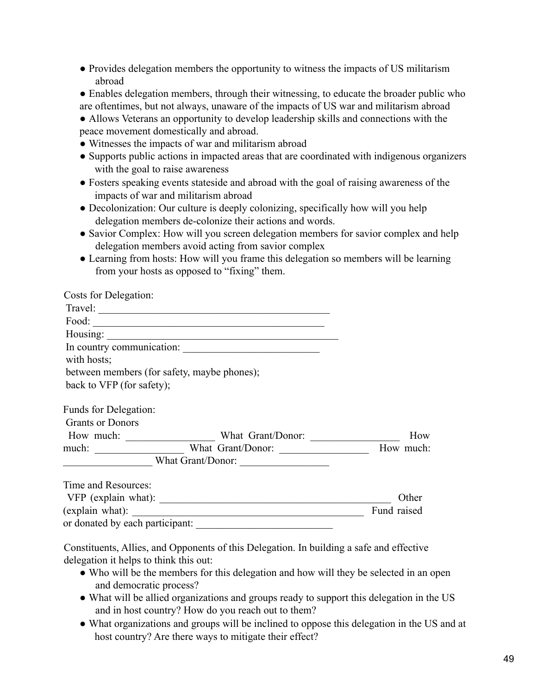- Provides delegation members the opportunity to witness the impacts of US militarism abroad
- Enables delegation members, through their witnessing, to educate the broader public who are oftentimes, but not always, unaware of the impacts of US war and militarism abroad
- Allows Veterans an opportunity to develop leadership skills and connections with the peace movement domestically and abroad.
- Witnesses the impacts of war and militarism abroad
- Supports public actions in impacted areas that are coordinated with indigenous organizers with the goal to raise awareness
- Fosters speaking events stateside and abroad with the goal of raising awareness of the impacts of war and militarism abroad
- Decolonization: Our culture is deeply colonizing, specifically how will you help delegation members de-colonize their actions and words.
- Savior Complex: How will you screen delegation members for savior complex and help delegation members avoid acting from savior complex
- Learning from hosts: How will you frame this delegation so members will be learning from your hosts as opposed to "fixing" them.

| Costs for Delegation:                                        |                                             |             |
|--------------------------------------------------------------|---------------------------------------------|-------------|
|                                                              | Travel: $\frac{1}{1}$                       |             |
|                                                              |                                             |             |
|                                                              |                                             |             |
|                                                              | In country communication:                   |             |
| with hosts;                                                  |                                             |             |
|                                                              | between members (for safety, maybe phones); |             |
| back to VFP (for safety);                                    |                                             |             |
| Funds for Delegation:                                        |                                             |             |
| <b>Grants or Donors</b>                                      |                                             |             |
| How much: $\frac{1}{\sqrt{1-\frac{1}{2}} \cdot \frac{1}{2}}$ |                                             | How         |
|                                                              | much: What Grant/Donor:                     | How much:   |
|                                                              |                                             |             |
| Time and Resources:                                          |                                             |             |
|                                                              | VFP (explain what):                         | Other       |
| (explain what):                                              |                                             | Fund raised |

Constituents, Allies, and Opponents of this Delegation. In building a safe and effective delegation it helps to think this out:

or donated by each participant:

- Who will be the members for this delegation and how will they be selected in an open and democratic process?
- What will be allied organizations and groups ready to support this delegation in the US and in host country? How do you reach out to them?
- What organizations and groups will be inclined to oppose this delegation in the US and at host country? Are there ways to mitigate their effect?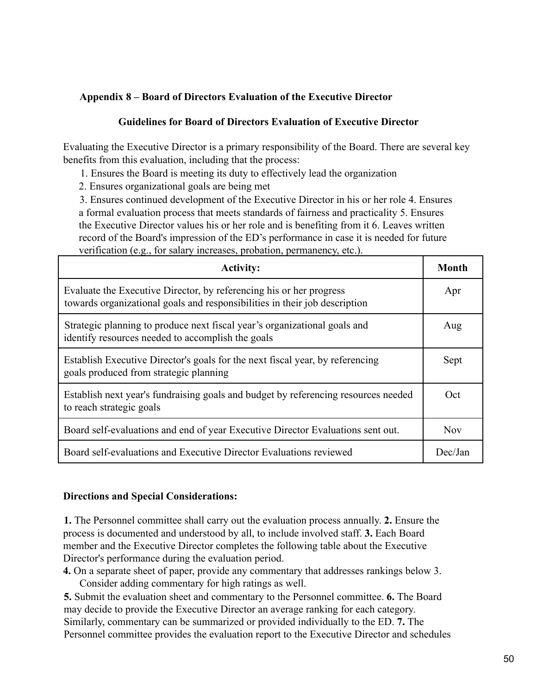## **Appendix 8 – Board of Directors Evaluation of the Executive Director**

#### **Guidelines for Board of Directors Evaluation of Executive Director**

Evaluating the Executive Director is a primary responsibility of the Board. There are several key benefits from this evaluation, including that the process:

1. Ensures the Board is meeting its duty to effectively lead the organization

2. Ensures organizational goals are being met

3. Ensures continued development of the Executive Director in his or her role 4. Ensures a formal evaluation process that meets standards of fairness and practicality 5. Ensures the Executive Director values his or her role and is benefiting from it 6. Leaves written record of the Board's impression of the ED's performance in case it is needed for future verification (e.g., for salary increases, probation, permanency, etc.).

| <b>Activity:</b>                                                                                                                                  | Month      |
|---------------------------------------------------------------------------------------------------------------------------------------------------|------------|
| Evaluate the Executive Director, by referencing his or her progress<br>towards organizational goals and responsibilities in their job description | Apr        |
| Strategic planning to produce next fiscal year's organizational goals and<br>identify resources needed to accomplish the goals                    | Aug        |
| Establish Executive Director's goals for the next fiscal year, by referencing<br>goals produced from strategic planning                           | Sept       |
| Establish next year's fundraising goals and budget by referencing resources needed<br>to reach strategic goals                                    | Oct        |
| Board self-evaluations and end of year Executive Director Evaluations sent out.                                                                   | <b>Nov</b> |
| Board self-evaluations and Executive Director Evaluations reviewed                                                                                | Dec/Jan    |

## **Directions and Special Considerations:**

**1.** The Personnel committee shall carry out the evaluation process annually. **2.** Ensure the process is documented and understood by all, to include involved staff. **3.** Each Board member and the Executive Director completes the following table about the Executive Director's performance during the evaluation period.

**4.** On a separate sheet of paper, provide any commentary that addresses rankings below 3. Consider adding commentary for high ratings as well.

**5.** Submit the evaluation sheet and commentary to the Personnel committee. **6.** The Board may decide to provide the Executive Director an average ranking for each category. Similarly, commentary can be summarized or provided individually to the ED. **7.** The Personnel committee provides the evaluation report to the Executive Director and schedules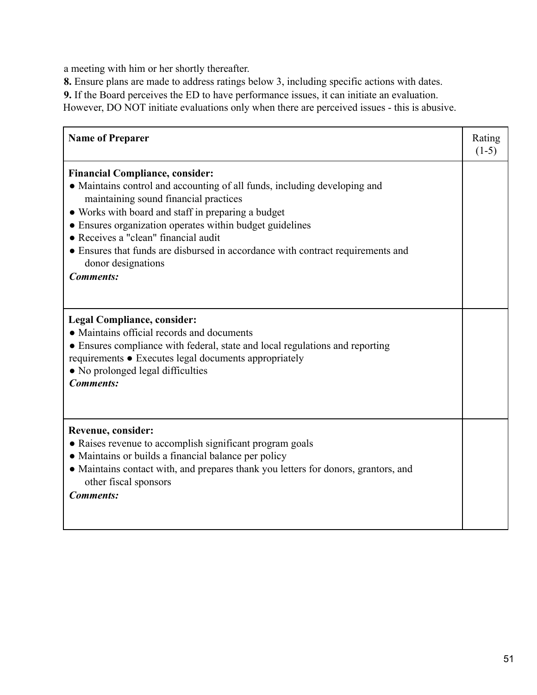a meeting with him or her shortly thereafter.

**8.** Ensure plans are made to address ratings below 3, including specific actions with dates.

**9.** If the Board perceives the ED to have performance issues, it can initiate an evaluation.

However, DO NOT initiate evaluations only when there are perceived issues - this is abusive.

| <b>Name of Preparer</b>                                                                                                                                                                                                                                                                                                                                                                                                                             | Rating<br>$(1-5)$ |
|-----------------------------------------------------------------------------------------------------------------------------------------------------------------------------------------------------------------------------------------------------------------------------------------------------------------------------------------------------------------------------------------------------------------------------------------------------|-------------------|
| <b>Financial Compliance, consider:</b><br>• Maintains control and accounting of all funds, including developing and<br>maintaining sound financial practices<br>• Works with board and staff in preparing a budget<br>• Ensures organization operates within budget guidelines<br>• Receives a "clean" financial audit<br>• Ensures that funds are disbursed in accordance with contract requirements and<br>donor designations<br><b>Comments:</b> |                   |
| <b>Legal Compliance, consider:</b><br>• Maintains official records and documents<br>• Ensures compliance with federal, state and local regulations and reporting<br>requirements • Executes legal documents appropriately<br>• No prolonged legal difficulties<br><b>Comments:</b>                                                                                                                                                                  |                   |
| Revenue, consider:<br>• Raises revenue to accomplish significant program goals<br>• Maintains or builds a financial balance per policy<br>• Maintains contact with, and prepares thank you letters for donors, grantors, and<br>other fiscal sponsors<br><b>Comments:</b>                                                                                                                                                                           |                   |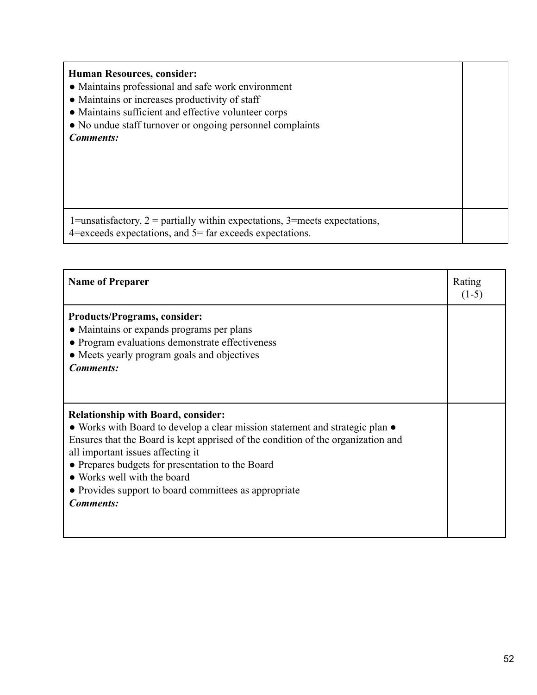| <b>Human Resources, consider:</b><br>• Maintains professional and safe work environment<br>• Maintains or increases productivity of staff      |  |
|------------------------------------------------------------------------------------------------------------------------------------------------|--|
| • Maintains sufficient and effective volunteer corps                                                                                           |  |
| • No undue staff turnover or ongoing personnel complaints                                                                                      |  |
| <b>Comments:</b>                                                                                                                               |  |
| 1=unsatisfactory, $2$ = partially within expectations, 3=meets expectations,<br>$4$ =exceeds expectations, and $5$ = far exceeds expectations. |  |

| <b>Name of Preparer</b>                                                                                                   | Rating<br>$(1-5)$ |
|---------------------------------------------------------------------------------------------------------------------------|-------------------|
| <b>Products/Programs, consider:</b><br>• Maintains or expands programs per plans                                          |                   |
| • Program evaluations demonstrate effectiveness<br>• Meets yearly program goals and objectives                            |                   |
| <b>Comments:</b>                                                                                                          |                   |
|                                                                                                                           |                   |
| <b>Relationship with Board, consider:</b><br>• Works with Board to develop a clear mission statement and strategic plan • |                   |
| Ensures that the Board is kept apprised of the condition of the organization and<br>all important issues affecting it     |                   |
| • Prepares budgets for presentation to the Board<br>• Works well with the board                                           |                   |
| • Provides support to board committees as appropriate<br><b>Comments:</b>                                                 |                   |
|                                                                                                                           |                   |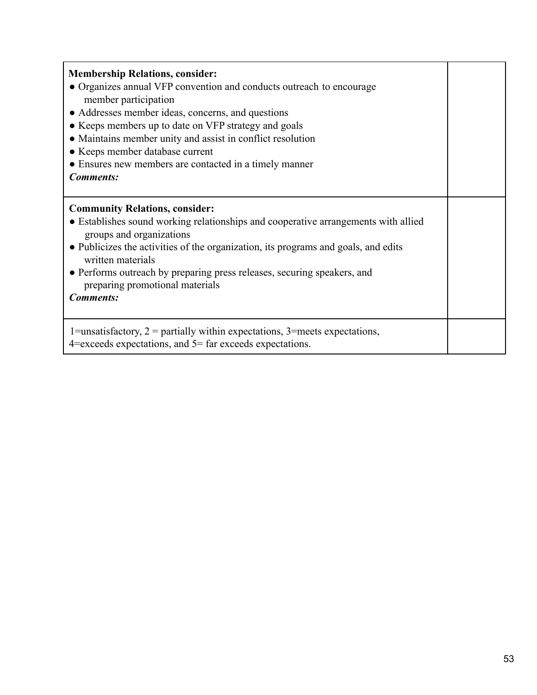| <b>Membership Relations, consider:</b><br>• Organizes annual VFP convention and conducts outreach to encourage<br>member participation<br>• Addresses member ideas, concerns, and questions<br>• Keeps members up to date on VFP strategy and goals<br>• Maintains member unity and assist in conflict resolution<br>• Keeps member database current<br>• Ensures new members are contacted in a timely manner<br><b>Comments:</b> |  |
|------------------------------------------------------------------------------------------------------------------------------------------------------------------------------------------------------------------------------------------------------------------------------------------------------------------------------------------------------------------------------------------------------------------------------------|--|
| <b>Community Relations, consider:</b><br>• Establishes sound working relationships and cooperative arrangements with allied<br>groups and organizations<br>• Publicizes the activities of the organization, its programs and goals, and edits<br>written materials<br>• Performs outreach by preparing press releases, securing speakers, and<br>preparing promotional materials<br><b>Comments:</b>                               |  |
| 1=unsatisfactory, $2$ = partially within expectations, 3=meets expectations,<br>$4$ =exceeds expectations, and $5$ = far exceeds expectations.                                                                                                                                                                                                                                                                                     |  |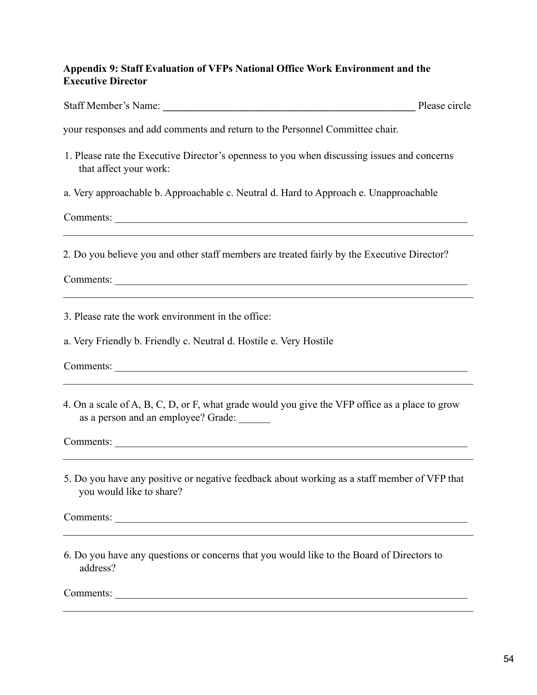## **Appendix 9: Staff Evaluation of VFPs National Office Work Environment and the Executive Director**

| Staff Member's Name: | Please circle |
|----------------------|---------------|
|----------------------|---------------|

your responses and add comments and return to the Personnel Committee chair.

- 1. Please rate the Executive Director's openness to you when discussing issues and concerns that affect your work:
- a. Very approachable b. Approachable c. Neutral d. Hard to Approach e. Unapproachable

Comments:

2. Do you believe you and other staff members are treated fairly by the Executive Director?

 $\mathcal{L}_\mathcal{L} = \{ \mathcal{L}_\mathcal{L} = \{ \mathcal{L}_\mathcal{L} = \{ \mathcal{L}_\mathcal{L} = \{ \mathcal{L}_\mathcal{L} = \{ \mathcal{L}_\mathcal{L} = \{ \mathcal{L}_\mathcal{L} = \{ \mathcal{L}_\mathcal{L} = \{ \mathcal{L}_\mathcal{L} = \{ \mathcal{L}_\mathcal{L} = \{ \mathcal{L}_\mathcal{L} = \{ \mathcal{L}_\mathcal{L} = \{ \mathcal{L}_\mathcal{L} = \{ \mathcal{L}_\mathcal{L} = \{ \mathcal{L}_\mathcal{$ 

 $\mathcal{L}_\mathcal{L} = \{ \mathcal{L}_\mathcal{L} = \{ \mathcal{L}_\mathcal{L} = \{ \mathcal{L}_\mathcal{L} = \{ \mathcal{L}_\mathcal{L} = \{ \mathcal{L}_\mathcal{L} = \{ \mathcal{L}_\mathcal{L} = \{ \mathcal{L}_\mathcal{L} = \{ \mathcal{L}_\mathcal{L} = \{ \mathcal{L}_\mathcal{L} = \{ \mathcal{L}_\mathcal{L} = \{ \mathcal{L}_\mathcal{L} = \{ \mathcal{L}_\mathcal{L} = \{ \mathcal{L}_\mathcal{L} = \{ \mathcal{L}_\mathcal{$ 

Comments: \_\_\_\_\_\_\_\_\_\_\_\_\_\_\_\_\_\_\_\_\_\_\_\_\_\_\_\_\_\_\_\_\_\_\_\_\_\_\_\_\_\_\_\_\_\_\_\_\_\_\_\_\_\_\_\_\_\_\_\_\_\_\_\_\_\_\_

3. Please rate the work environment in the office:

a. Very Friendly b. Friendly c. Neutral d. Hostile e. Very Hostile

Comments: \_\_\_\_\_\_\_\_\_\_\_\_\_\_\_\_\_\_\_\_\_\_\_\_\_\_\_\_\_\_\_\_\_\_\_\_\_\_\_\_\_\_\_\_\_\_\_\_\_\_\_\_\_\_\_\_\_\_\_\_\_\_\_\_\_\_\_

4. On a scale of A, B, C, D, or F, what grade would you give the VFP office as a place to grow as a person and an employee? Grade:

 $\mathcal{L}_\mathcal{L} = \{ \mathcal{L}_\mathcal{L} = \{ \mathcal{L}_\mathcal{L} = \{ \mathcal{L}_\mathcal{L} = \{ \mathcal{L}_\mathcal{L} = \{ \mathcal{L}_\mathcal{L} = \{ \mathcal{L}_\mathcal{L} = \{ \mathcal{L}_\mathcal{L} = \{ \mathcal{L}_\mathcal{L} = \{ \mathcal{L}_\mathcal{L} = \{ \mathcal{L}_\mathcal{L} = \{ \mathcal{L}_\mathcal{L} = \{ \mathcal{L}_\mathcal{L} = \{ \mathcal{L}_\mathcal{L} = \{ \mathcal{L}_\mathcal{$ 

Comments: \_\_\_\_\_\_\_\_\_\_\_\_\_\_\_\_\_\_\_\_\_\_\_\_\_\_\_\_\_\_\_\_\_\_\_\_\_\_\_\_\_\_\_\_\_\_\_\_\_\_\_\_\_\_\_\_\_\_\_\_\_\_\_\_\_\_\_

5. Do you have any positive or negative feedback about working as a staff member of VFP that you would like to share?

 $\mathcal{L}_\mathcal{L} = \{ \mathcal{L}_\mathcal{L} = \{ \mathcal{L}_\mathcal{L} = \{ \mathcal{L}_\mathcal{L} = \{ \mathcal{L}_\mathcal{L} = \{ \mathcal{L}_\mathcal{L} = \{ \mathcal{L}_\mathcal{L} = \{ \mathcal{L}_\mathcal{L} = \{ \mathcal{L}_\mathcal{L} = \{ \mathcal{L}_\mathcal{L} = \{ \mathcal{L}_\mathcal{L} = \{ \mathcal{L}_\mathcal{L} = \{ \mathcal{L}_\mathcal{L} = \{ \mathcal{L}_\mathcal{L} = \{ \mathcal{L}_\mathcal{$ 

 $\mathcal{L}_\mathcal{L} = \{ \mathcal{L}_\mathcal{L} = \{ \mathcal{L}_\mathcal{L} = \{ \mathcal{L}_\mathcal{L} = \{ \mathcal{L}_\mathcal{L} = \{ \mathcal{L}_\mathcal{L} = \{ \mathcal{L}_\mathcal{L} = \{ \mathcal{L}_\mathcal{L} = \{ \mathcal{L}_\mathcal{L} = \{ \mathcal{L}_\mathcal{L} = \{ \mathcal{L}_\mathcal{L} = \{ \mathcal{L}_\mathcal{L} = \{ \mathcal{L}_\mathcal{L} = \{ \mathcal{L}_\mathcal{L} = \{ \mathcal{L}_\mathcal{$ 

 $\mathcal{L}_\mathcal{L} = \{ \mathcal{L}_\mathcal{L} = \{ \mathcal{L}_\mathcal{L} = \{ \mathcal{L}_\mathcal{L} = \{ \mathcal{L}_\mathcal{L} = \{ \mathcal{L}_\mathcal{L} = \{ \mathcal{L}_\mathcal{L} = \{ \mathcal{L}_\mathcal{L} = \{ \mathcal{L}_\mathcal{L} = \{ \mathcal{L}_\mathcal{L} = \{ \mathcal{L}_\mathcal{L} = \{ \mathcal{L}_\mathcal{L} = \{ \mathcal{L}_\mathcal{L} = \{ \mathcal{L}_\mathcal{L} = \{ \mathcal{L}_\mathcal{$ 

Comments: \_\_\_\_\_\_\_\_\_\_\_\_\_\_\_\_\_\_\_\_\_\_\_\_\_\_\_\_\_\_\_\_\_\_\_\_\_\_\_\_\_\_\_\_\_\_\_\_\_\_\_\_\_\_\_\_\_\_\_\_\_\_\_\_\_\_\_

6. Do you have any questions or concerns that you would like to the Board of Directors to address?

Comments: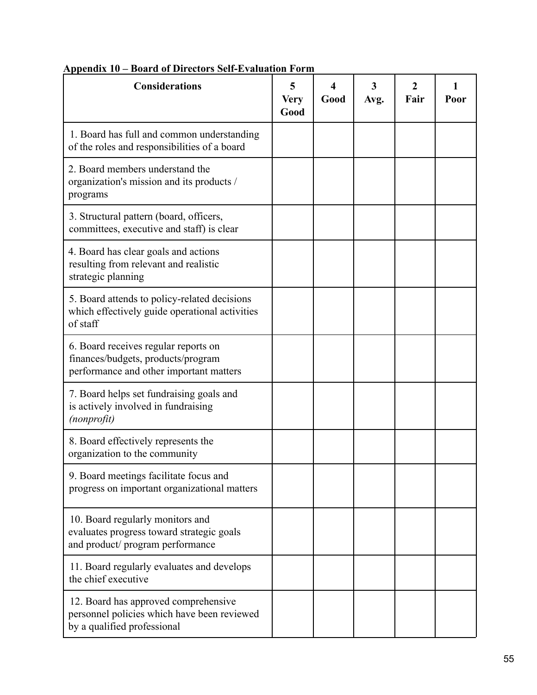| <b>Considerations</b>                                                                                                 | 5<br><b>Very</b><br>Good | Good | 3<br>Avg. | $\mathcal{L}$<br>Fair | Poor |
|-----------------------------------------------------------------------------------------------------------------------|--------------------------|------|-----------|-----------------------|------|
| 1. Board has full and common understanding<br>of the roles and responsibilities of a board                            |                          |      |           |                       |      |
| 2. Board members understand the<br>organization's mission and its products /<br>programs                              |                          |      |           |                       |      |
| 3. Structural pattern (board, officers,<br>committees, executive and staff) is clear                                  |                          |      |           |                       |      |
| 4. Board has clear goals and actions<br>resulting from relevant and realistic<br>strategic planning                   |                          |      |           |                       |      |
| 5. Board attends to policy-related decisions<br>which effectively guide operational activities<br>of staff            |                          |      |           |                       |      |
| 6. Board receives regular reports on<br>finances/budgets, products/program<br>performance and other important matters |                          |      |           |                       |      |
| 7. Board helps set fundraising goals and<br>is actively involved in fundraising<br>(nonprofit)                        |                          |      |           |                       |      |
| 8. Board effectively represents the<br>organization to the community                                                  |                          |      |           |                       |      |
| 9. Board meetings facilitate focus and<br>progress on important organizational matters                                |                          |      |           |                       |      |
| 10. Board regularly monitors and<br>evaluates progress toward strategic goals<br>and product/ program performance     |                          |      |           |                       |      |
| 11. Board regularly evaluates and develops<br>the chief executive                                                     |                          |      |           |                       |      |
| 12. Board has approved comprehensive<br>personnel policies which have been reviewed<br>by a qualified professional    |                          |      |           |                       |      |

# **Appendix 10 – Board of Directors Self-Evaluation Form**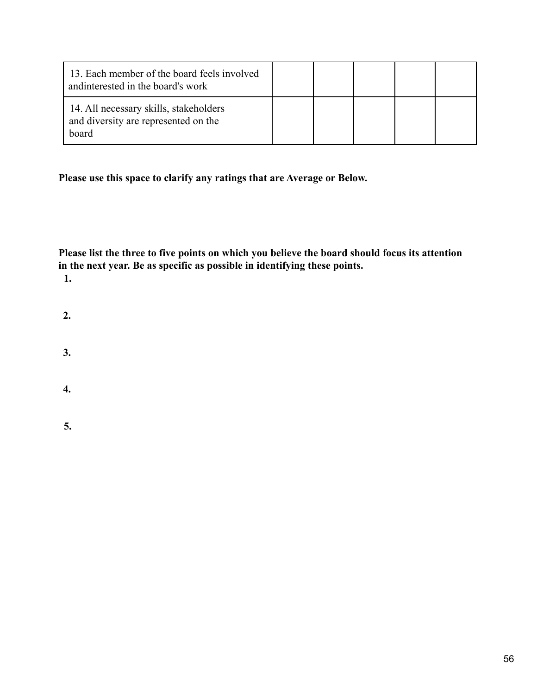| 13. Each member of the board feels involved<br>and interested in the board's work       |  |  |  |
|-----------------------------------------------------------------------------------------|--|--|--|
| 14. All necessary skills, stakeholders<br>and diversity are represented on the<br>board |  |  |  |

**Please use this space to clarify any ratings that are Average or Below.**

**Please list the three to five points on which you believe the board should focus its attention in the next year. Be as specific as possible in identifying these points. 1.**

- **2.**
- **3.**
- 
- **4.**

**5.**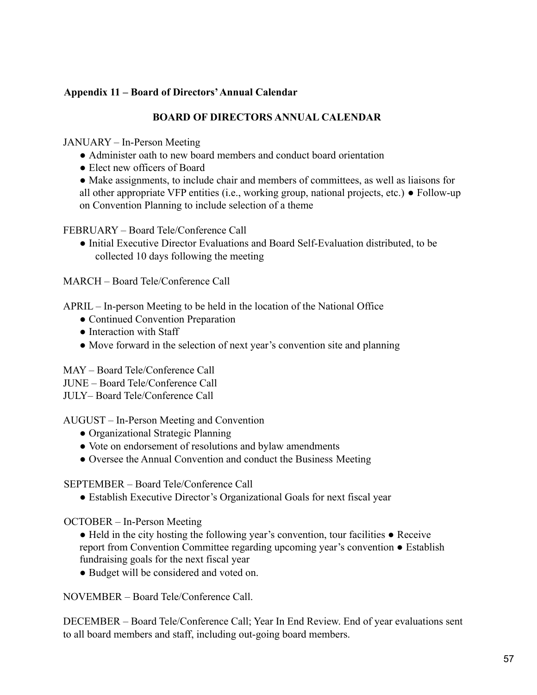## **Appendix 11 – Board of Directors'Annual Calendar**

## **BOARD OF DIRECTORS ANNUAL CALENDAR**

JANUARY – In-Person Meeting

- Administer oath to new board members and conduct board orientation
- Elect new officers of Board

• Make assignments, to include chair and members of committees, as well as liaisons for all other appropriate VFP entities (i.e., working group, national projects, etc.) ● Follow-up on Convention Planning to include selection of a theme

FEBRUARY – Board Tele/Conference Call

● Initial Executive Director Evaluations and Board Self-Evaluation distributed, to be collected 10 days following the meeting

MARCH – Board Tele/Conference Call

APRIL – In-person Meeting to be held in the location of the National Office

- Continued Convention Preparation
- Interaction with Staff
- Move forward in the selection of next year's convention site and planning

MAY – Board Tele/Conference Call

JUNE – Board Tele/Conference Call

JULY– Board Tele/Conference Call

AUGUST – In-Person Meeting and Convention

- Organizational Strategic Planning
- Vote on endorsement of resolutions and bylaw amendments
- Oversee the Annual Convention and conduct the Business Meeting

SEPTEMBER – Board Tele/Conference Call

● Establish Executive Director's Organizational Goals for next fiscal year

OCTOBER – In-Person Meeting

- Held in the city hosting the following year's convention, tour facilities Receive report from Convention Committee regarding upcoming year's convention ● Establish fundraising goals for the next fiscal year
- Budget will be considered and voted on.

NOVEMBER – Board Tele/Conference Call.

DECEMBER – Board Tele/Conference Call; Year In End Review. End of year evaluations sent to all board members and staff, including out-going board members.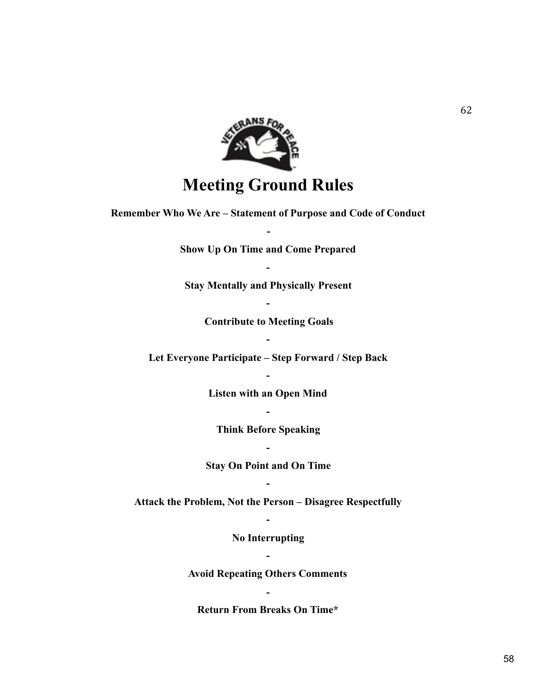

# **Meeting Ground Rules**

**Remember Who We Are – Statement of Purpose and Code of Conduct**

**Show Up On Time and Come Prepared**

**-**

**-**

**Stay Mentally and Physically Present**

**-**

**Contribute to Meeting Goals -**

**Let Everyone Participate – Step Forward / Step Back**

**-**

**Listen with an Open Mind**

**Think Before Speaking**

**-**

**Stay On Point and On Time -**

**-**

**Attack the Problem, Not the Person – Disagree Respectfully -**

> **No Interrupting -**

**Avoid Repeating Others Comments**

**Return From Breaks On Time\***

**-**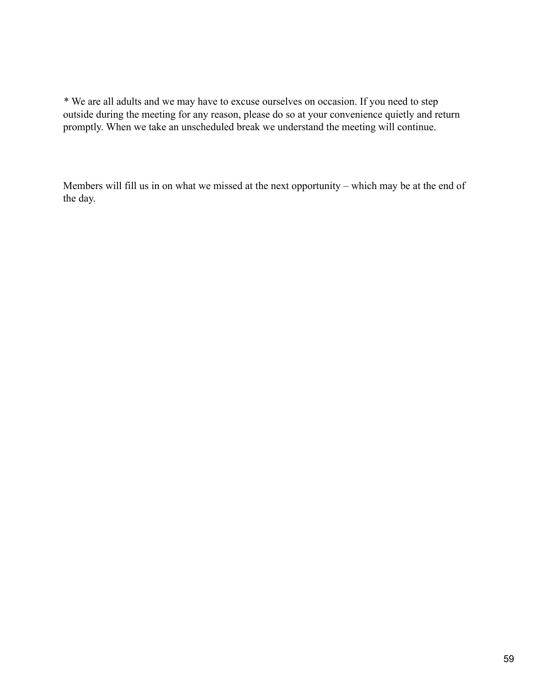\* We are all adults and we may have to excuse ourselves on occasion. If you need to step outside during the meeting for any reason, please do so at your convenience quietly and return promptly. When we take an unscheduled break we understand the meeting will continue.

Members will fill us in on what we missed at the next opportunity – which may be at the end of the day.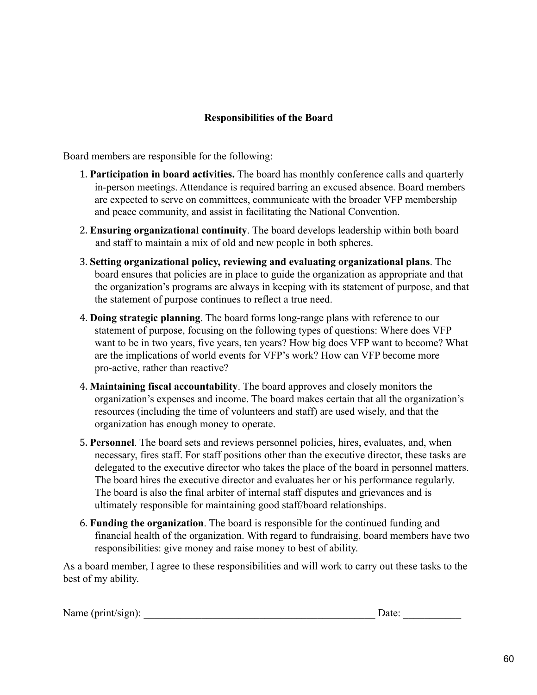## **Responsibilities of the Board**

Board members are responsible for the following:

- 1. **Participation in board activities.** The board has monthly conference calls and quarterly in-person meetings. Attendance is required barring an excused absence. Board members are expected to serve on committees, communicate with the broader VFP membership and peace community, and assist in facilitating the National Convention.
- 2. **Ensuring organizational continuity**. The board develops leadership within both board and staff to maintain a mix of old and new people in both spheres.
- 3. **Setting organizational policy, reviewing and evaluating organizational plans**. The board ensures that policies are in place to guide the organization as appropriate and that the organization's programs are always in keeping with its statement of purpose, and that the statement of purpose continues to reflect a true need.
- 4. **Doing strategic planning**. The board forms long-range plans with reference to our statement of purpose, focusing on the following types of questions: Where does VFP want to be in two years, five years, ten years? How big does VFP want to become? What are the implications of world events for VFP's work? How can VFP become more pro-active, rather than reactive?
- 4. **Maintaining fiscal accountability**. The board approves and closely monitors the organization's expenses and income. The board makes certain that all the organization's resources (including the time of volunteers and staff) are used wisely, and that the organization has enough money to operate.
- 5. **Personnel**. The board sets and reviews personnel policies, hires, evaluates, and, when necessary, fires staff. For staff positions other than the executive director, these tasks are delegated to the executive director who takes the place of the board in personnel matters. The board hires the executive director and evaluates her or his performance regularly. The board is also the final arbiter of internal staff disputes and grievances and is ultimately responsible for maintaining good staff/board relationships.
- 6. **Funding the organization**. The board is responsible for the continued funding and financial health of the organization. With regard to fundraising, board members have two responsibilities: give money and raise money to best of ability.

As a board member, I agree to these responsibilities and will work to carry out these tasks to the best of my ability.

| Name (print/sign): | Date: |  |
|--------------------|-------|--|
|                    |       |  |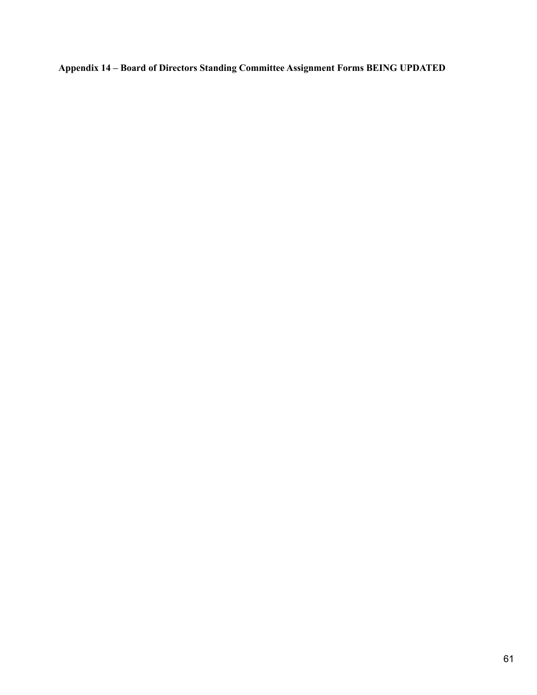**Appendix 14 – Board of Directors Standing Committee Assignment Forms BEING UPDATED**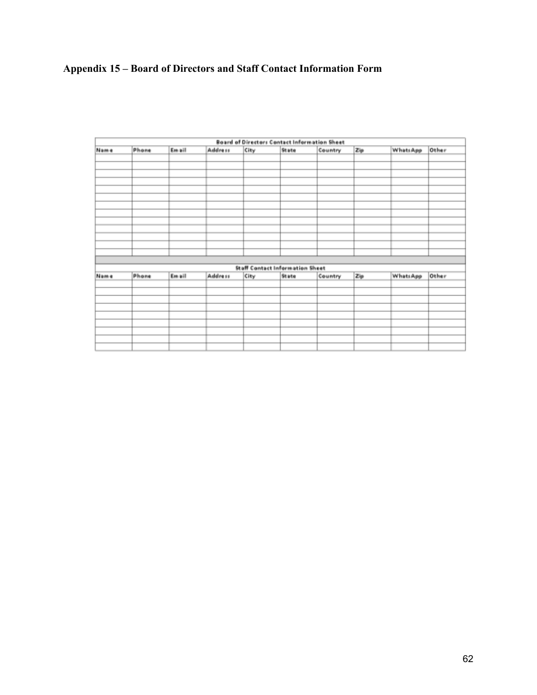# **Appendix 15 – Board of Directors and Staff Contact Information Form**

| <b>Board of Directors Contact Information Sheet</b> |       |        |         |      |                                 |         |     |           |       |
|-----------------------------------------------------|-------|--------|---------|------|---------------------------------|---------|-----|-----------|-------|
| Name                                                | Phone | Email  | Address | City | State                           | Country | Zp  | WhatsApp  | Other |
|                                                     |       |        |         |      |                                 |         |     |           |       |
|                                                     |       |        |         |      |                                 |         |     |           |       |
|                                                     |       |        |         |      |                                 |         |     |           |       |
|                                                     |       |        |         |      |                                 |         |     |           |       |
|                                                     |       |        |         |      |                                 |         |     |           |       |
|                                                     |       |        |         |      |                                 |         |     |           |       |
|                                                     |       |        |         |      |                                 |         |     |           |       |
|                                                     |       |        |         |      |                                 |         |     |           |       |
|                                                     |       |        |         |      |                                 |         |     |           |       |
|                                                     |       |        |         |      |                                 |         |     |           |       |
|                                                     |       |        |         |      |                                 |         |     |           |       |
|                                                     |       |        |         |      |                                 |         |     |           |       |
|                                                     |       |        |         |      |                                 |         |     |           |       |
|                                                     |       |        |         |      |                                 |         |     |           |       |
|                                                     |       |        |         |      | Staff Contact Information Sheet |         |     |           |       |
| <b>Name</b>                                         | Phone | Em ail | Address | City | State                           | Country | Zip | Whats App | Other |
|                                                     |       |        |         |      |                                 |         |     |           |       |
|                                                     |       |        |         |      |                                 |         |     |           |       |
|                                                     |       |        |         |      |                                 |         |     |           |       |
|                                                     |       |        |         |      |                                 |         |     |           |       |
|                                                     |       |        |         |      |                                 |         |     |           |       |
|                                                     |       |        |         |      |                                 |         |     |           |       |
|                                                     |       |        |         |      |                                 |         |     |           |       |
|                                                     |       |        |         |      |                                 |         |     |           |       |
|                                                     |       |        |         |      |                                 |         |     |           |       |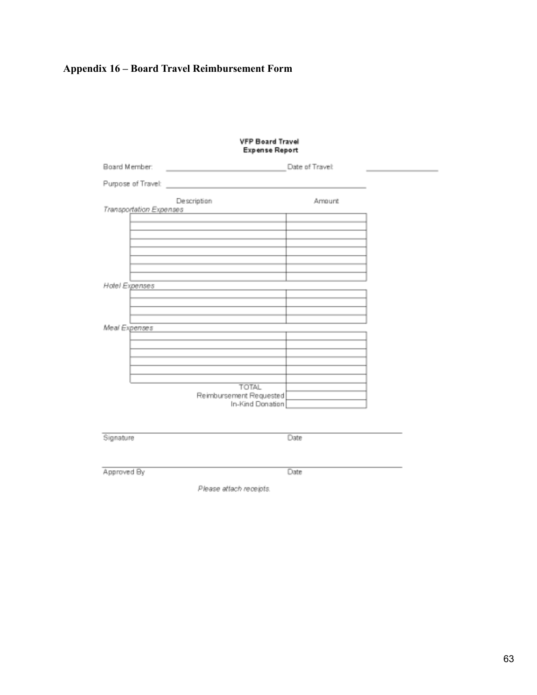# **Appendix 16 – Board Travel Reimbursement Form**

# VFP Board Travel<br>Expense Report

| Board Member:           |                                                                                                                      | Date of Travel: |  |
|-------------------------|----------------------------------------------------------------------------------------------------------------------|-----------------|--|
| Purpose of Travel:      | <u> 1980 - Johann Barn, mars eta bainar eta industrial eta erromana eta erromana eta erromana eta erromana eta e</u> |                 |  |
|                         | Description                                                                                                          | Amount          |  |
| Transportation Expenses | <u> 1989 - John Harry Harry Harry Harry Harry Harry Harry Harry Harry Harry Harry Harry Harry Harry Harry Harry</u>  |                 |  |
|                         |                                                                                                                      |                 |  |
|                         |                                                                                                                      |                 |  |
|                         |                                                                                                                      |                 |  |
|                         |                                                                                                                      |                 |  |
|                         |                                                                                                                      |                 |  |
|                         | the contract of the contract of the contract of the contract of the contract of                                      |                 |  |
| Hotel Expenses          |                                                                                                                      |                 |  |
|                         |                                                                                                                      |                 |  |
|                         | the control of the control of the control of the control of the control of                                           |                 |  |
| Meal Expenses           |                                                                                                                      |                 |  |
|                         |                                                                                                                      |                 |  |
|                         |                                                                                                                      |                 |  |
|                         |                                                                                                                      |                 |  |
|                         |                                                                                                                      |                 |  |
|                         |                                                                                                                      |                 |  |
|                         | <b>TOTAL</b>                                                                                                         |                 |  |
|                         | Reimbursement Requested                                                                                              |                 |  |
|                         | In-Kind Donation                                                                                                     |                 |  |
|                         |                                                                                                                      |                 |  |
| Signature               |                                                                                                                      | Date            |  |
|                         |                                                                                                                      |                 |  |

Approved By

Date

Please attach receipts.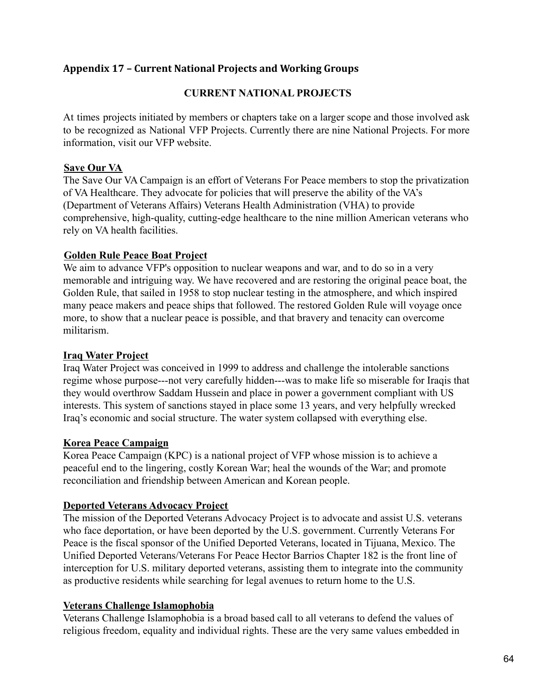# **Appendix 17 – Current National Projects and Working Groups**

## **CURRENT NATIONAL PROJECTS**

At times projects initiated by members or chapters take on a larger scope and those involved ask to be recognized as National VFP Projects. Currently there are nine National Projects. For more information, visit our VFP website.

#### **Save Our VA**

The Save Our VA Campaign is an effort of Veterans For Peace members to stop the privatization of VA Healthcare. They advocate for policies that will preserve the ability of the VA's (Department of Veterans Affairs) Veterans Health Administration (VHA) to provide comprehensive, high-quality, cutting-edge healthcare to the nine million American veterans who rely on VA health facilities.

#### **Golden Rule Peace Boat Project**

We aim to advance VFP's opposition to nuclear weapons and war, and to do so in a very memorable and intriguing way. We have recovered and are restoring the original peace boat, the Golden Rule, that sailed in 1958 to stop nuclear testing in the atmosphere, and which inspired many peace makers and peace ships that followed. The restored Golden Rule will voyage once more, to show that a nuclear peace is possible, and that bravery and tenacity can overcome militarism.

#### **Iraq Water Project**

Iraq Water Project was conceived in 1999 to address and challenge the intolerable sanctions regime whose purpose---not very carefully hidden---was to make life so miserable for Iraqis that they would overthrow Saddam Hussein and place in power a government compliant with US interests. This system of sanctions stayed in place some 13 years, and very helpfully wrecked Iraq's economic and social structure. The water system collapsed with everything else.

#### **Korea Peace Campaign**

Korea Peace Campaign (KPC) is a national project of VFP whose mission is to achieve a peaceful end to the lingering, costly Korean War; heal the wounds of the War; and promote reconciliation and friendship between American and Korean people.

## **Deported Veterans Advocacy Project**

The mission of the Deported Veterans Advocacy Project is to advocate and assist U.S. veterans who face deportation, or have been deported by the U.S. government. Currently Veterans For Peace is the fiscal sponsor of the Unified Deported Veterans, located in Tijuana, Mexico. The Unified Deported Veterans/Veterans For Peace Hector Barrios Chapter 182 is the front line of interception for U.S. military deported veterans, assisting them to integrate into the community as productive residents while searching for legal avenues to return home to the U.S.

#### **Veterans Challenge Islamophobia**

Veterans Challenge Islamophobia is a broad based call to all veterans to defend the values of religious freedom, equality and individual rights. These are the very same values embedded in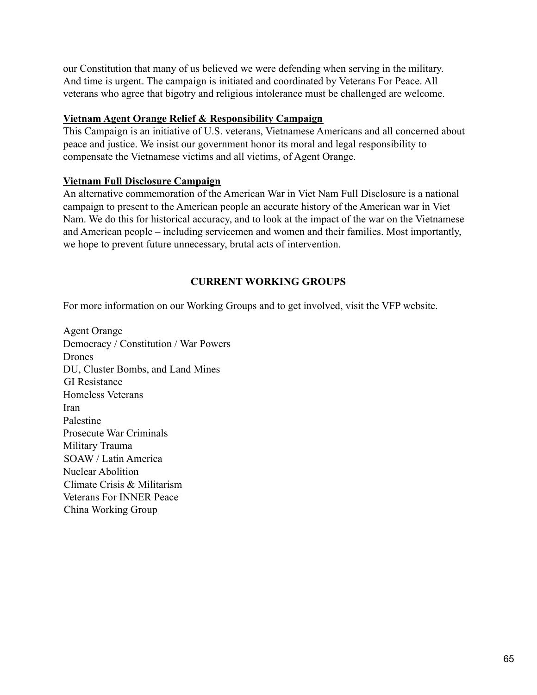our Constitution that many of us believed we were defending when serving in the military. And time is urgent. The campaign is initiated and coordinated by Veterans For Peace. All veterans who agree that bigotry and religious intolerance must be challenged are welcome.

## **Vietnam Agent Orange Relief & Responsibility Campaign**

This Campaign is an initiative of U.S. veterans, Vietnamese Americans and all concerned about peace and justice. We insist our government honor its moral and legal responsibility to compensate the Vietnamese victims and all victims, of Agent Orange.

# **Vietnam Full Disclosure Campaign**

An alternative commemoration of the American War in Viet Nam Full Disclosure is a national campaign to present to the American people an accurate history of the American war in Viet Nam. We do this for historical accuracy, and to look at the impact of the war on the Vietnamese and American people – including servicemen and women and their families. Most importantly, we hope to prevent future unnecessary, brutal acts of intervention.

# **CURRENT WORKING GROUPS**

For more information on our Working Groups and to get involved, visit the VFP website.

Agent Orange Democracy / Constitution / War Powers Drones DU, Cluster Bombs, and Land Mines GI Resistance Homeless Veterans Iran Palestine Prosecute War Criminals Military Trauma SOAW / Latin America Nuclear Abolition Climate Crisis & Militarism Veterans For INNER Peace China Working Group